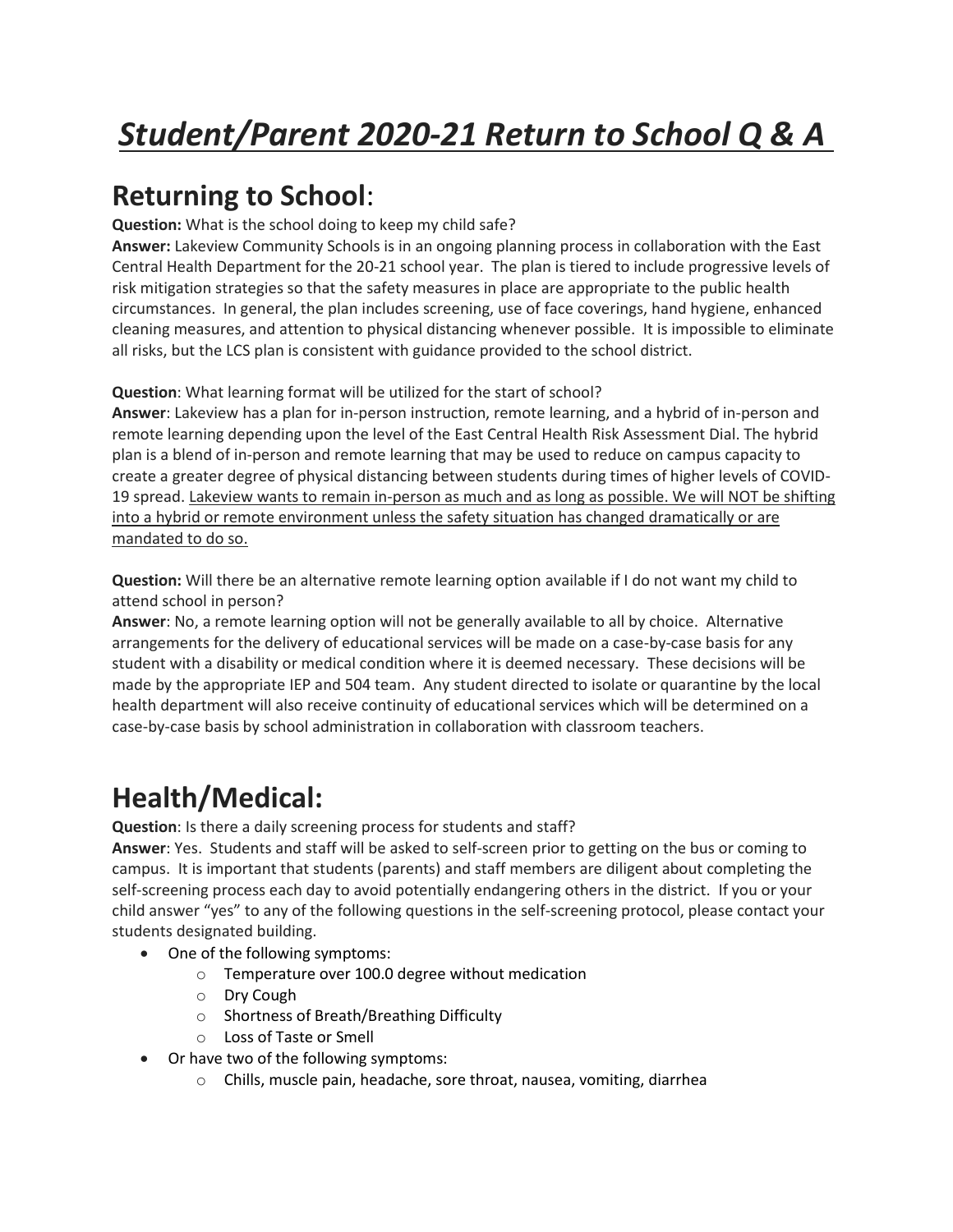# **Returning to School**:

**Question:** What is the school doing to keep my child safe?

**Answer:** Lakeview Community Schools is in an ongoing planning process in collaboration with the East Central Health Department for the 20-21 school year. The plan is tiered to include progressive levels of risk mitigation strategies so that the safety measures in place are appropriate to the public health circumstances. In general, the plan includes screening, use of face coverings, hand hygiene, enhanced cleaning measures, and attention to physical distancing whenever possible. It is impossible to eliminate all risks, but the LCS plan is consistent with guidance provided to the school district.

**Question**: What learning format will be utilized for the start of school?

**Answer**: Lakeview has a plan for in-person instruction, remote learning, and a hybrid of in-person and remote learning depending upon the level of the East Central Health Risk Assessment Dial. The hybrid plan is a blend of in-person and remote learning that may be used to reduce on campus capacity to create a greater degree of physical distancing between students during times of higher levels of COVID-19 spread. Lakeview wants to remain in-person as much and as long as possible. We will NOT be shifting into a hybrid or remote environment unless the safety situation has changed dramatically or are mandated to do so.

**Question:** Will there be an alternative remote learning option available if I do not want my child to attend school in person?

**Answer**: No, a remote learning option will not be generally available to all by choice. Alternative arrangements for the delivery of educational services will be made on a case-by-case basis for any student with a disability or medical condition where it is deemed necessary. These decisions will be made by the appropriate IEP and 504 team. Any student directed to isolate or quarantine by the local health department will also receive continuity of educational services which will be determined on a case-by-case basis by school administration in collaboration with classroom teachers.

# **Health/Medical:**

**Question**: Is there a daily screening process for students and staff?

**Answer**: Yes. Students and staff will be asked to self-screen prior to getting on the bus or coming to campus. It is important that students (parents) and staff members are diligent about completing the self-screening process each day to avoid potentially endangering others in the district. If you or your child answer "yes" to any of the following questions in the self-screening protocol, please contact your students designated building.

- One of the following symptoms:
	- o Temperature over 100.0 degree without medication
	- o Dry Cough
	- o Shortness of Breath/Breathing Difficulty
	- o Loss of Taste or Smell
- Or have two of the following symptoms:
	- $\circ$  Chills, muscle pain, headache, sore throat, nausea, vomiting, diarrhea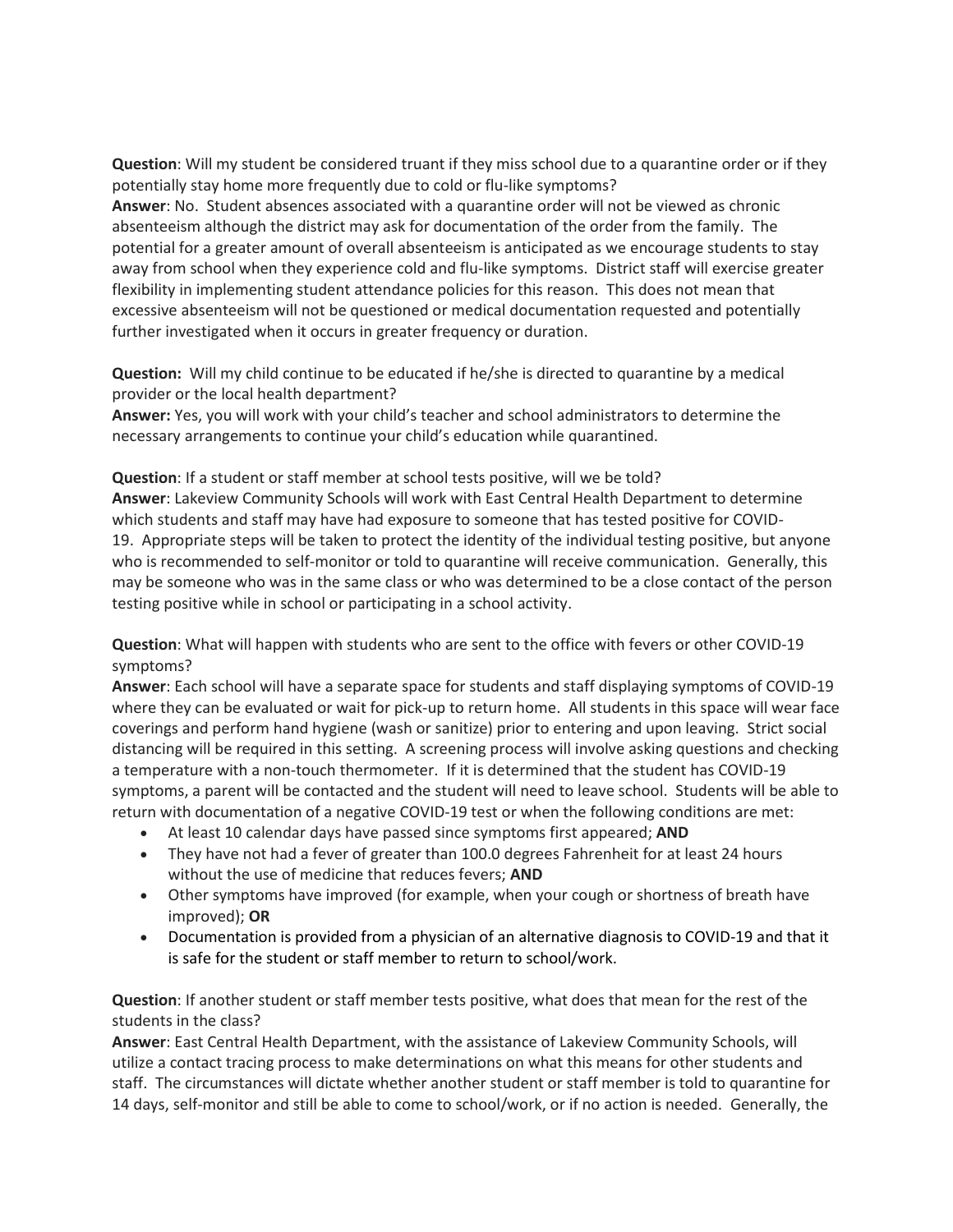**Question**: Will my student be considered truant if they miss school due to a quarantine order or if they potentially stay home more frequently due to cold or flu-like symptoms? **Answer**: No. Student absences associated with a quarantine order will not be viewed as chronic absenteeism although the district may ask for documentation of the order from the family. The potential for a greater amount of overall absenteeism is anticipated as we encourage students to stay away from school when they experience cold and flu-like symptoms. District staff will exercise greater flexibility in implementing student attendance policies for this reason. This does not mean that excessive absenteeism will not be questioned or medical documentation requested and potentially further investigated when it occurs in greater frequency or duration.

**Question:** Will my child continue to be educated if he/she is directed to quarantine by a medical provider or the local health department?

**Answer:** Yes, you will work with your child's teacher and school administrators to determine the necessary arrangements to continue your child's education while quarantined.

**Question**: If a student or staff member at school tests positive, will we be told? **Answer**: Lakeview Community Schools will work with East Central Health Department to determine which students and staff may have had exposure to someone that has tested positive for COVID-19. Appropriate steps will be taken to protect the identity of the individual testing positive, but anyone who is recommended to self-monitor or told to quarantine will receive communication. Generally, this may be someone who was in the same class or who was determined to be a close contact of the person testing positive while in school or participating in a school activity.

**Question**: What will happen with students who are sent to the office with fevers or other COVID-19 symptoms?

**Answer**: Each school will have a separate space for students and staff displaying symptoms of COVID-19 where they can be evaluated or wait for pick-up to return home. All students in this space will wear face coverings and perform hand hygiene (wash or sanitize) prior to entering and upon leaving. Strict social distancing will be required in this setting. A screening process will involve asking questions and checking a temperature with a non-touch thermometer. If it is determined that the student has COVID-19 symptoms, a parent will be contacted and the student will need to leave school. Students will be able to return with documentation of a negative COVID-19 test or when the following conditions are met:

- At least 10 calendar days have passed since symptoms first appeared; **AND**
- They have not had a fever of greater than 100.0 degrees Fahrenheit for at least 24 hours without the use of medicine that reduces fevers; **AND**
- Other symptoms have improved (for example, when your cough or shortness of breath have improved); **OR**
- Documentation is provided from a physician of an alternative diagnosis to COVID-19 and that it is safe for the student or staff member to return to school/work.

**Question**: If another student or staff member tests positive, what does that mean for the rest of the students in the class?

**Answer**: East Central Health Department, with the assistance of Lakeview Community Schools, will utilize a contact tracing process to make determinations on what this means for other students and staff. The circumstances will dictate whether another student or staff member is told to quarantine for 14 days, self-monitor and still be able to come to school/work, or if no action is needed. Generally, the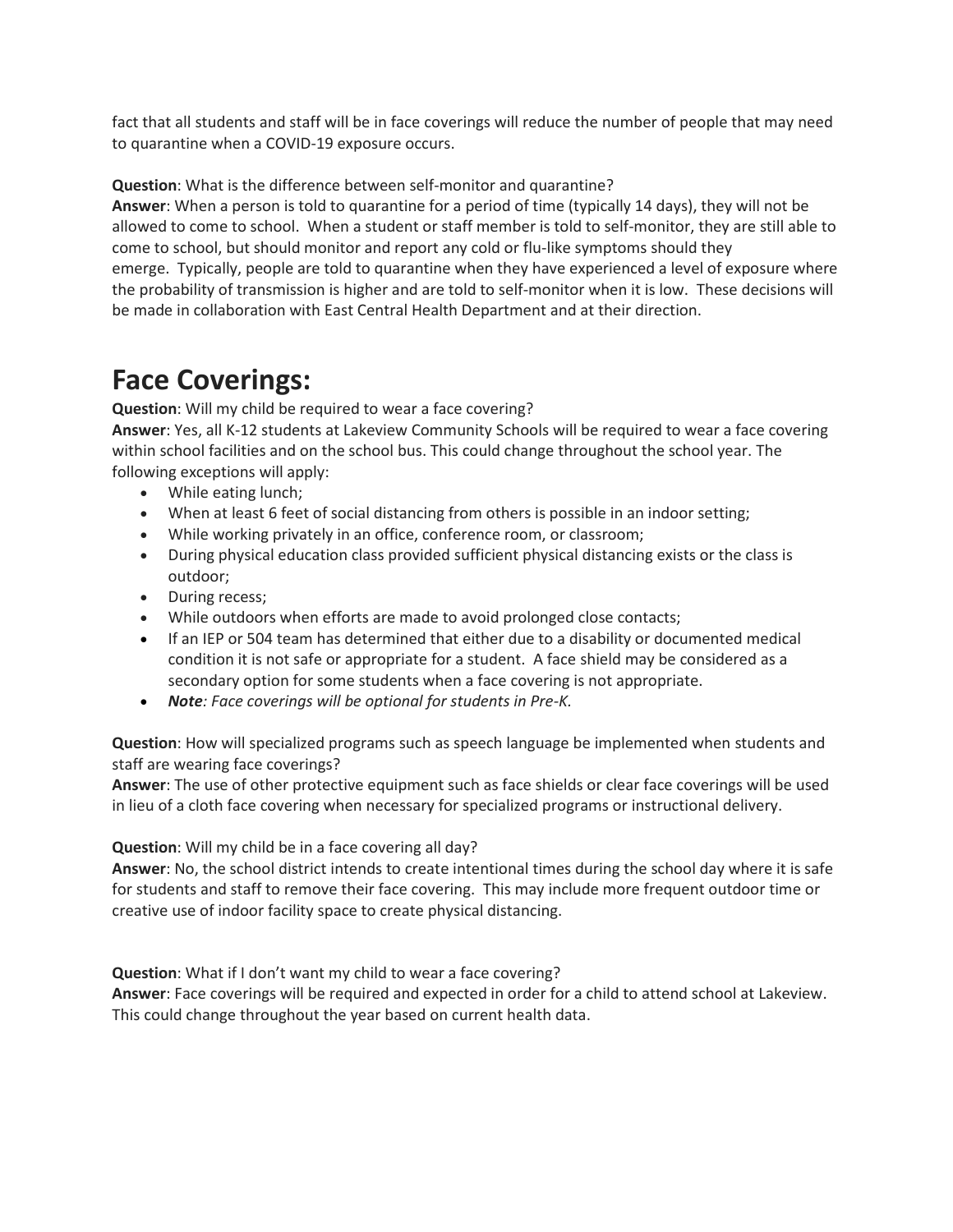fact that all students and staff will be in face coverings will reduce the number of people that may need to quarantine when a COVID-19 exposure occurs.

**Question**: What is the difference between self-monitor and quarantine?

**Answer**: When a person is told to quarantine for a period of time (typically 14 days), they will not be allowed to come to school. When a student or staff member is told to self-monitor, they are still able to come to school, but should monitor and report any cold or flu-like symptoms should they emerge. Typically, people are told to quarantine when they have experienced a level of exposure where the probability of transmission is higher and are told to self-monitor when it is low. These decisions will be made in collaboration with East Central Health Department and at their direction.

### **Face Coverings:**

**Question**: Will my child be required to wear a face covering?

**Answer**: Yes, all K-12 students at Lakeview Community Schools will be required to wear a face covering within school facilities and on the school bus. This could change throughout the school year. The following exceptions will apply:

- While eating lunch;
- When at least 6 feet of social distancing from others is possible in an indoor setting;
- While working privately in an office, conference room, or classroom;
- During physical education class provided sufficient physical distancing exists or the class is outdoor;
- During recess;
- While outdoors when efforts are made to avoid prolonged close contacts;
- If an IEP or 504 team has determined that either due to a disability or documented medical condition it is not safe or appropriate for a student. A face shield may be considered as a secondary option for some students when a face covering is not appropriate.
- *Note: Face coverings will be optional for students in Pre-K.*

**Question**: How will specialized programs such as speech language be implemented when students and staff are wearing face coverings?

**Answer**: The use of other protective equipment such as face shields or clear face coverings will be used in lieu of a cloth face covering when necessary for specialized programs or instructional delivery.

#### **Question**: Will my child be in a face covering all day?

**Answer**: No, the school district intends to create intentional times during the school day where it is safe for students and staff to remove their face covering. This may include more frequent outdoor time or creative use of indoor facility space to create physical distancing.

**Question**: What if I don't want my child to wear a face covering?

**Answer**: Face coverings will be required and expected in order for a child to attend school at Lakeview. This could change throughout the year based on current health data.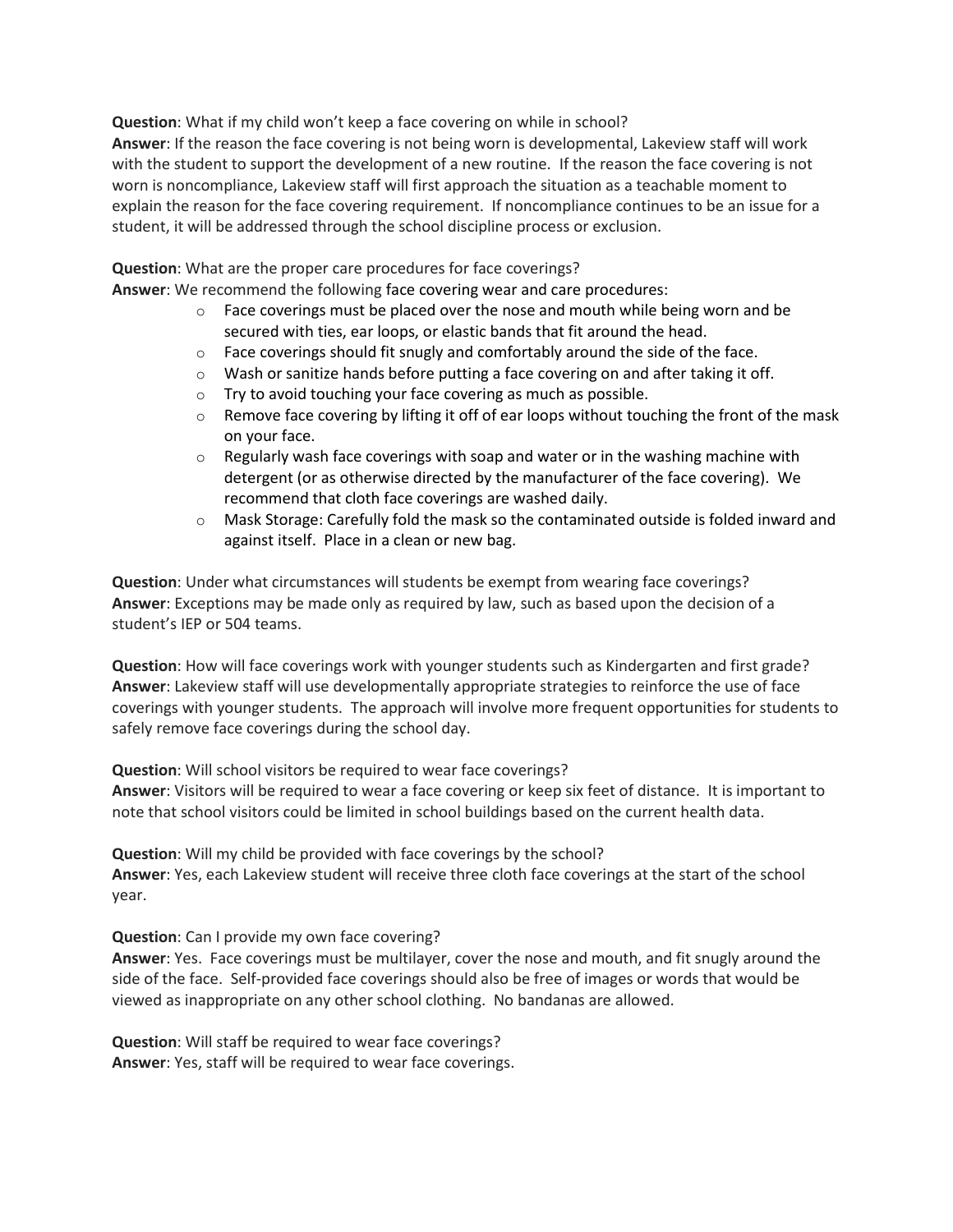**Question**: What if my child won't keep a face covering on while in school?

**Answer**: If the reason the face covering is not being worn is developmental, Lakeview staff will work with the student to support the development of a new routine. If the reason the face covering is not worn is noncompliance, Lakeview staff will first approach the situation as a teachable moment to explain the reason for the face covering requirement. If noncompliance continues to be an issue for a student, it will be addressed through the school discipline process or exclusion.

**Question**: What are the proper care procedures for face coverings?

**Answer**: We recommend the following face covering wear and care procedures:

- $\circ$  Face coverings must be placed over the nose and mouth while being worn and be secured with ties, ear loops, or elastic bands that fit around the head.
- $\circ$  Face coverings should fit snugly and comfortably around the side of the face.
- $\circ$  Wash or sanitize hands before putting a face covering on and after taking it off.
- o Try to avoid touching your face covering as much as possible.
- $\circ$  Remove face covering by lifting it off of ear loops without touching the front of the mask on your face.
- $\circ$  Regularly wash face coverings with soap and water or in the washing machine with detergent (or as otherwise directed by the manufacturer of the face covering). We recommend that cloth face coverings are washed daily.
- $\circ$  Mask Storage: Carefully fold the mask so the contaminated outside is folded inward and against itself. Place in a clean or new bag.

**Question**: Under what circumstances will students be exempt from wearing face coverings? **Answer**: Exceptions may be made only as required by law, such as based upon the decision of a student's IEP or 504 teams.

**Question**: How will face coverings work with younger students such as Kindergarten and first grade? **Answer**: Lakeview staff will use developmentally appropriate strategies to reinforce the use of face coverings with younger students. The approach will involve more frequent opportunities for students to safely remove face coverings during the school day.

**Question**: Will school visitors be required to wear face coverings? **Answer**: Visitors will be required to wear a face covering or keep six feet of distance. It is important to note that school visitors could be limited in school buildings based on the current health data.

**Question**: Will my child be provided with face coverings by the school? **Answer**: Yes, each Lakeview student will receive three cloth face coverings at the start of the school year.

**Question**: Can I provide my own face covering?

**Answer**: Yes. Face coverings must be multilayer, cover the nose and mouth, and fit snugly around the side of the face. Self-provided face coverings should also be free of images or words that would be viewed as inappropriate on any other school clothing. No bandanas are allowed.

**Question**: Will staff be required to wear face coverings? **Answer**: Yes, staff will be required to wear face coverings.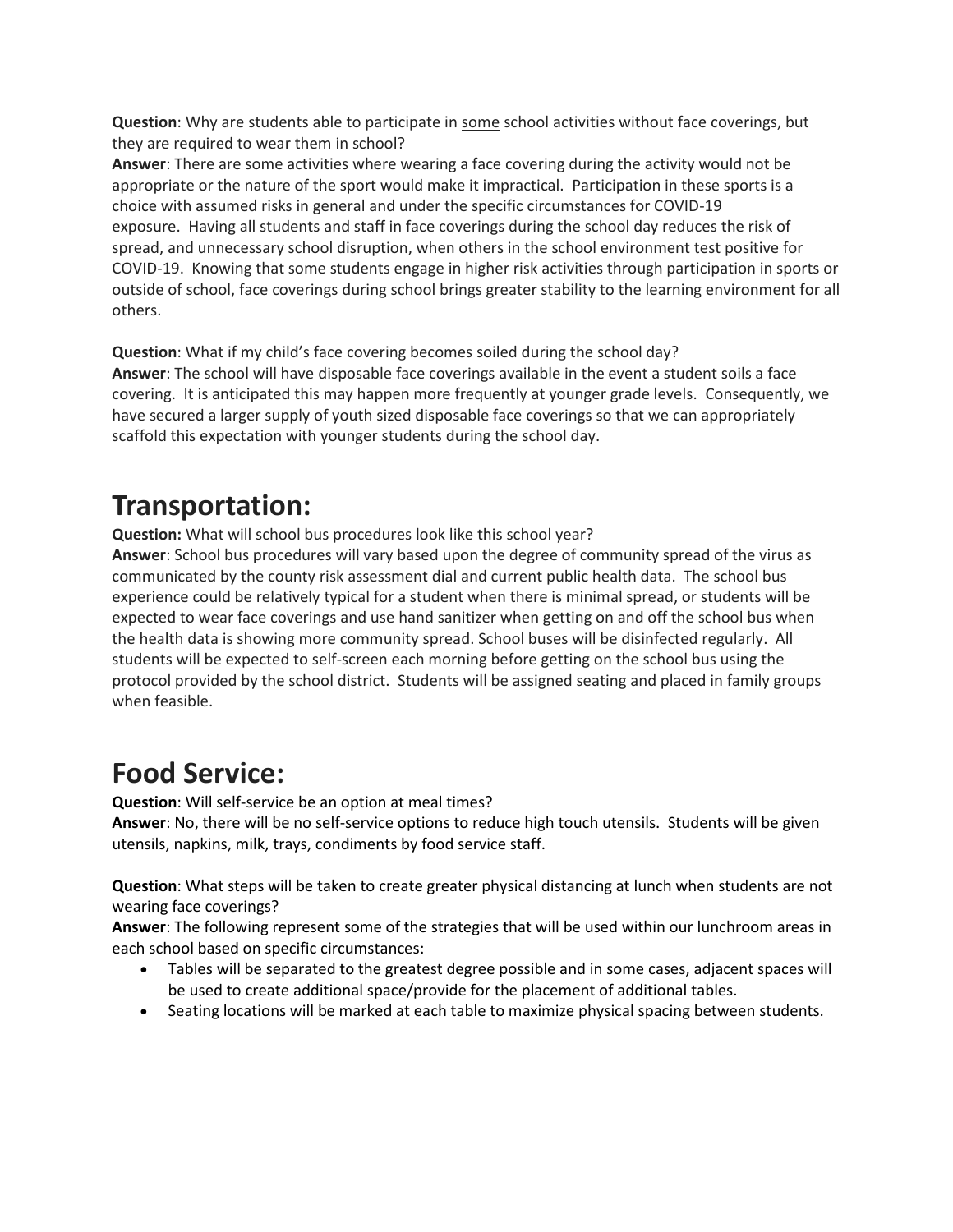**Question**: Why are students able to participate in some school activities without face coverings, but they are required to wear them in school?

**Answer**: There are some activities where wearing a face covering during the activity would not be appropriate or the nature of the sport would make it impractical. Participation in these sports is a choice with assumed risks in general and under the specific circumstances for COVID-19 exposure. Having all students and staff in face coverings during the school day reduces the risk of spread, and unnecessary school disruption, when others in the school environment test positive for COVID-19. Knowing that some students engage in higher risk activities through participation in sports or outside of school, face coverings during school brings greater stability to the learning environment for all others.

**Question**: What if my child's face covering becomes soiled during the school day? **Answer**: The school will have disposable face coverings available in the event a student soils a face covering. It is anticipated this may happen more frequently at younger grade levels. Consequently, we have secured a larger supply of youth sized disposable face coverings so that we can appropriately scaffold this expectation with younger students during the school day.

### **Transportation:**

**Question:** What will school bus procedures look like this school year? **Answer**: School bus procedures will vary based upon the degree of community spread of the virus as communicated by the county risk assessment dial and current public health data. The school bus experience could be relatively typical for a student when there is minimal spread, or students will be expected to wear face coverings and use hand sanitizer when getting on and off the school bus when the health data is showing more community spread. School buses will be disinfected regularly. All students will be expected to self-screen each morning before getting on the school bus using the protocol provided by the school district. Students will be assigned seating and placed in family groups when feasible.

### **Food Service:**

**Question**: Will self-service be an option at meal times?

**Answer**: No, there will be no self-service options to reduce high touch utensils. Students will be given utensils, napkins, milk, trays, condiments by food service staff.

**Question**: What steps will be taken to create greater physical distancing at lunch when students are not wearing face coverings?

**Answer**: The following represent some of the strategies that will be used within our lunchroom areas in each school based on specific circumstances:

- Tables will be separated to the greatest degree possible and in some cases, adjacent spaces will be used to create additional space/provide for the placement of additional tables.
- Seating locations will be marked at each table to maximize physical spacing between students.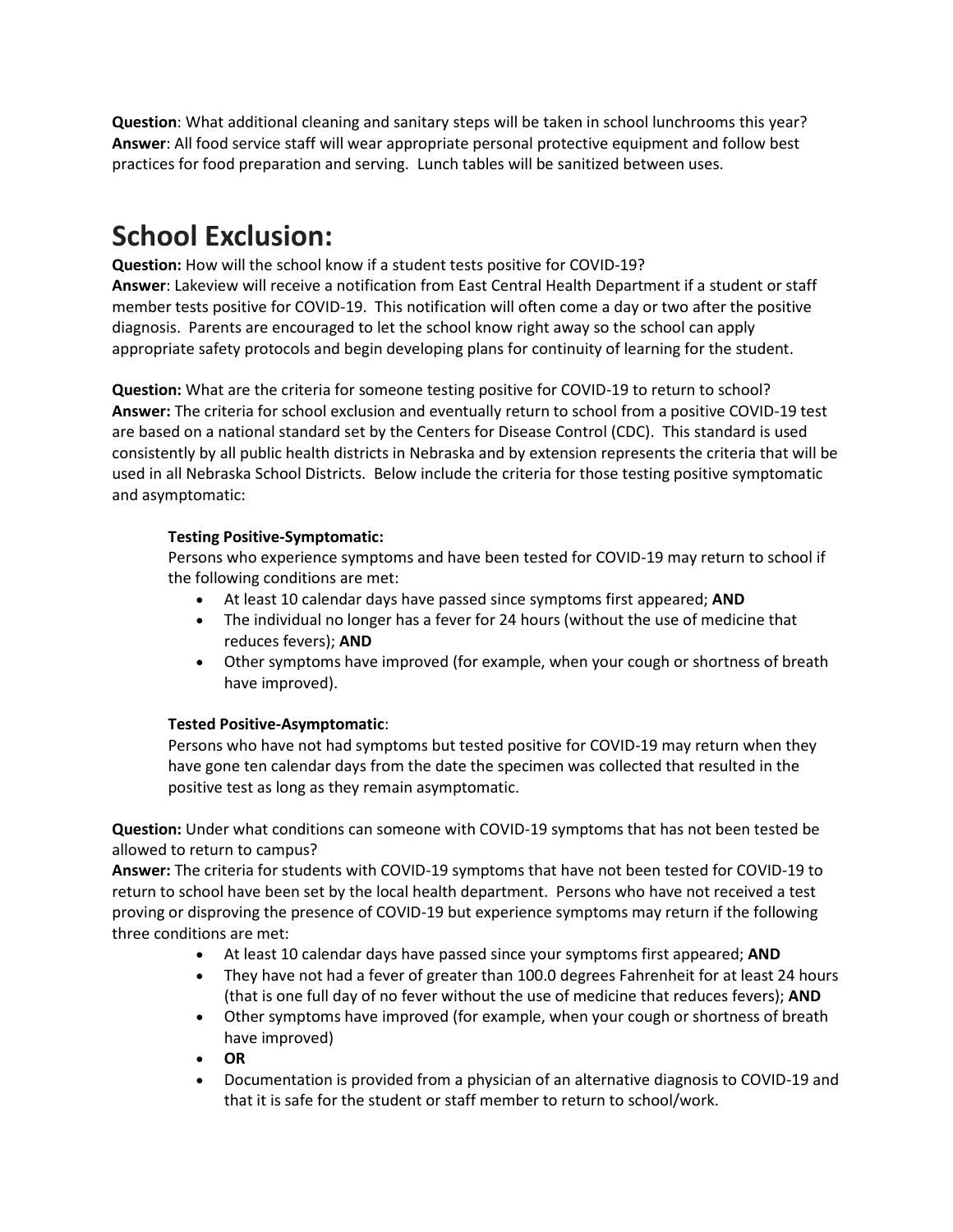**Question**: What additional cleaning and sanitary steps will be taken in school lunchrooms this year? **Answer**: All food service staff will wear appropriate personal protective equipment and follow best practices for food preparation and serving. Lunch tables will be sanitized between uses.

### **School Exclusion:**

**Question:** How will the school know if a student tests positive for COVID-19? **Answer**: Lakeview will receive a notification from East Central Health Department if a student or staff member tests positive for COVID-19. This notification will often come a day or two after the positive diagnosis. Parents are encouraged to let the school know right away so the school can apply appropriate safety protocols and begin developing plans for continuity of learning for the student.

**Question:** What are the criteria for someone testing positive for COVID-19 to return to school? **Answer:** The criteria for school exclusion and eventually return to school from a positive COVID-19 test are based on a national standard set by the Centers for Disease Control (CDC). This standard is used consistently by all public health districts in Nebraska and by extension represents the criteria that will be used in all Nebraska School Districts. Below include the criteria for those testing positive symptomatic and asymptomatic:

#### **Testing Positive-Symptomatic:**

Persons who experience symptoms and have been tested for COVID-19 may return to school if the following conditions are met:

- At least 10 calendar days have passed since symptoms first appeared; **AND**
- The individual no longer has a fever for 24 hours (without the use of medicine that reduces fevers); **AND**
- Other symptoms have improved (for example, when your cough or shortness of breath have improved).

#### **Tested Positive-Asymptomatic**:

Persons who have not had symptoms but tested positive for COVID-19 may return when they have gone ten calendar days from the date the specimen was collected that resulted in the positive test as long as they remain asymptomatic.

**Question:** Under what conditions can someone with COVID-19 symptoms that has not been tested be allowed to return to campus?

**Answer:** The criteria for students with COVID-19 symptoms that have not been tested for COVID-19 to return to school have been set by the local health department. Persons who have not received a test proving or disproving the presence of COVID-19 but experience symptoms may return if the following three conditions are met:

- At least 10 calendar days have passed since your symptoms first appeared; **AND**
- They have not had a fever of greater than 100.0 degrees Fahrenheit for at least 24 hours (that is one full day of no fever without the use of medicine that reduces fevers); **AND**
- Other symptoms have improved (for example, when your cough or shortness of breath have improved)
- **OR**
- Documentation is provided from a physician of an alternative diagnosis to COVID-19 and that it is safe for the student or staff member to return to school/work.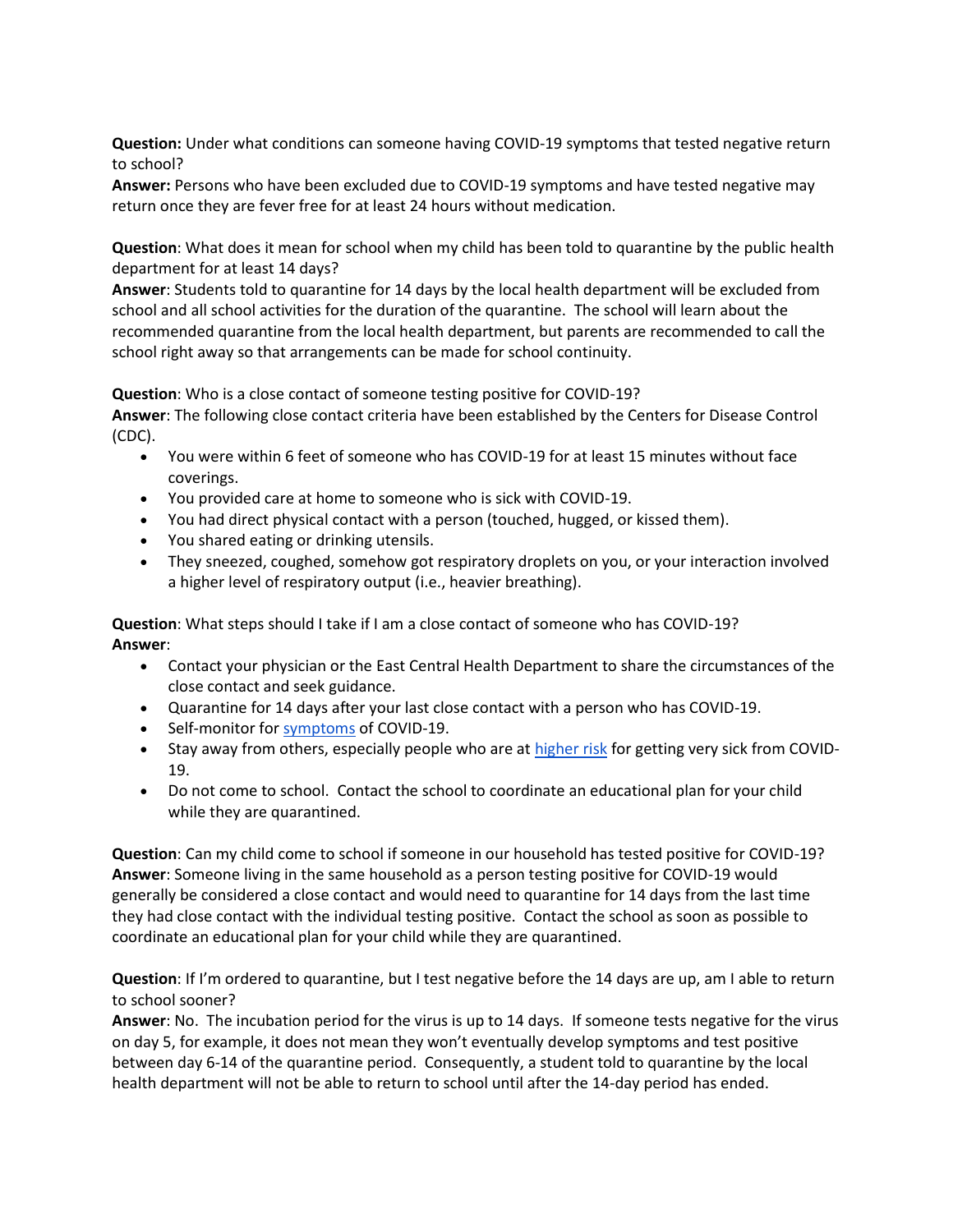**Question:** Under what conditions can someone having COVID-19 symptoms that tested negative return to school?

**Answer:** Persons who have been excluded due to COVID-19 symptoms and have tested negative may return once they are fever free for at least 24 hours without medication.

**Question**: What does it mean for school when my child has been told to quarantine by the public health department for at least 14 days?

**Answer**: Students told to quarantine for 14 days by the local health department will be excluded from school and all school activities for the duration of the quarantine. The school will learn about the recommended quarantine from the local health department, but parents are recommended to call the school right away so that arrangements can be made for school continuity.

**Question**: Who is a close contact of someone testing positive for COVID-19?

**Answer**: The following close contact criteria have been established by the Centers for Disease Control (CDC).

- You were within 6 feet of someone who has COVID-19 for at least 15 minutes without face coverings.
- You provided care at home to someone who is sick with COVID-19.
- You had direct physical contact with a person (touched, hugged, or kissed them).
- You shared eating or drinking utensils.
- They sneezed, coughed, somehow got respiratory droplets on you, or your interaction involved a higher level of respiratory output (i.e., heavier breathing).

**Question**: What steps should I take if I am a close contact of someone who has COVID-19? **Answer**:

- Contact your physician or the East Central Health Department to share the circumstances of the close contact and seek guidance.
- Quarantine for 14 days after your last close contact with a person who has COVID-19.
- Self-monitor for [symptoms](https://www.cdc.gov/coronavirus/2019-ncov/symptoms-testing/symptoms.html) of COVID-19.
- Stay away from others, especially people who are a[t higher risk](https://www.cdc.gov/coronavirus/2019-ncov/need-extra-precautions/people-at-increased-risk.html?CDC_AA_refVal=https%3A%2F%2Fwww.cdc.gov%2Fcoronavirus%2F2019-ncov%2Fneed-extra-precautions%2Fpeople-at-higher-risk.html) for getting very sick from COVID-19.
- Do not come to school. Contact the school to coordinate an educational plan for your child while they are quarantined.

**Question**: Can my child come to school if someone in our household has tested positive for COVID-19? **Answer**: Someone living in the same household as a person testing positive for COVID-19 would generally be considered a close contact and would need to quarantine for 14 days from the last time they had close contact with the individual testing positive. Contact the school as soon as possible to coordinate an educational plan for your child while they are quarantined.

**Question**: If I'm ordered to quarantine, but I test negative before the 14 days are up, am I able to return to school sooner?

**Answer**: No. The incubation period for the virus is up to 14 days. If someone tests negative for the virus on day 5, for example, it does not mean they won't eventually develop symptoms and test positive between day 6-14 of the quarantine period. Consequently, a student told to quarantine by the local health department will not be able to return to school until after the 14-day period has ended.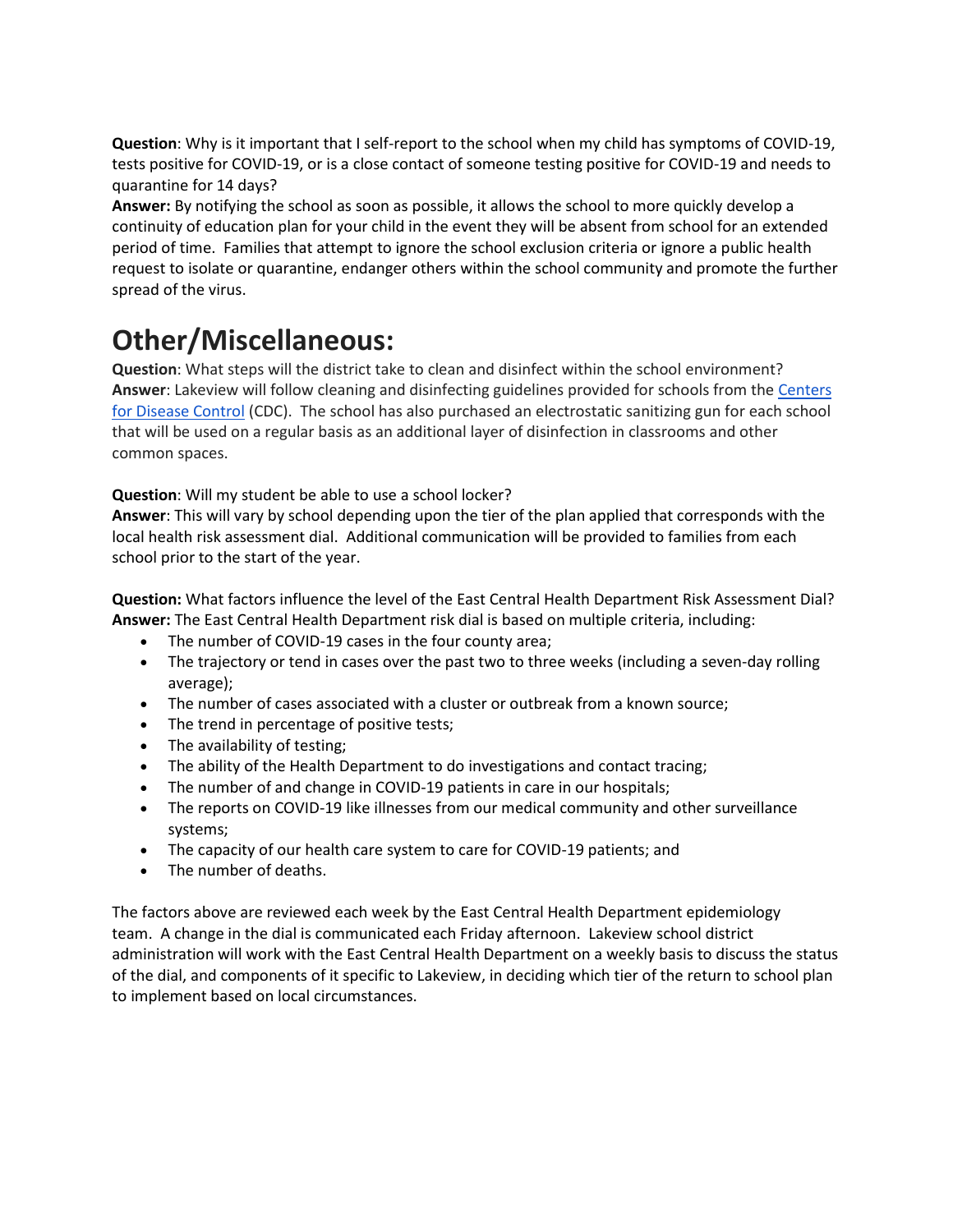**Question**: Why is it important that I self-report to the school when my child has symptoms of COVID-19, tests positive for COVID-19, or is a close contact of someone testing positive for COVID-19 and needs to quarantine for 14 days?

**Answer:** By notifying the school as soon as possible, it allows the school to more quickly develop a continuity of education plan for your child in the event they will be absent from school for an extended period of time. Families that attempt to ignore the school exclusion criteria or ignore a public health request to isolate or quarantine, endanger others within the school community and promote the further spread of the virus.

### **Other/Miscellaneous:**

**Question**: What steps will the district take to clean and disinfect within the school environment? **Answer**: Lakeview will follow cleaning and disinfecting guidelines provided for schools from the [Centers](https://www.cdc.gov/coronavirus/2019-ncov/community/reopen-guidance.html)  [for Disease Control](https://www.cdc.gov/coronavirus/2019-ncov/community/reopen-guidance.html) (CDC). The school has also purchased an electrostatic sanitizing gun for each school that will be used on a regular basis as an additional layer of disinfection in classrooms and other common spaces.

#### **Question**: Will my student be able to use a school locker?

**Answer**: This will vary by school depending upon the tier of the plan applied that corresponds with the local health risk assessment dial. Additional communication will be provided to families from each school prior to the start of the year.

**Question:** What factors influence the level of the East Central Health Department Risk Assessment Dial? **Answer:** The East Central Health Department risk dial is based on multiple criteria, including:

- The number of COVID-19 cases in the four county area;
- The trajectory or tend in cases over the past two to three weeks (including a seven-day rolling average);
- The number of cases associated with a cluster or outbreak from a known source;
- The trend in percentage of positive tests;
- The availability of testing;
- The ability of the Health Department to do investigations and contact tracing;
- The number of and change in COVID-19 patients in care in our hospitals;
- The reports on COVID-19 like illnesses from our medical community and other surveillance systems;
- The capacity of our health care system to care for COVID-19 patients; and
- The number of deaths.

The factors above are reviewed each week by the East Central Health Department epidemiology team. A change in the dial is communicated each Friday afternoon. Lakeview school district administration will work with the East Central Health Department on a weekly basis to discuss the status of the dial, and components of it specific to Lakeview, in deciding which tier of the return to school plan to implement based on local circumstances.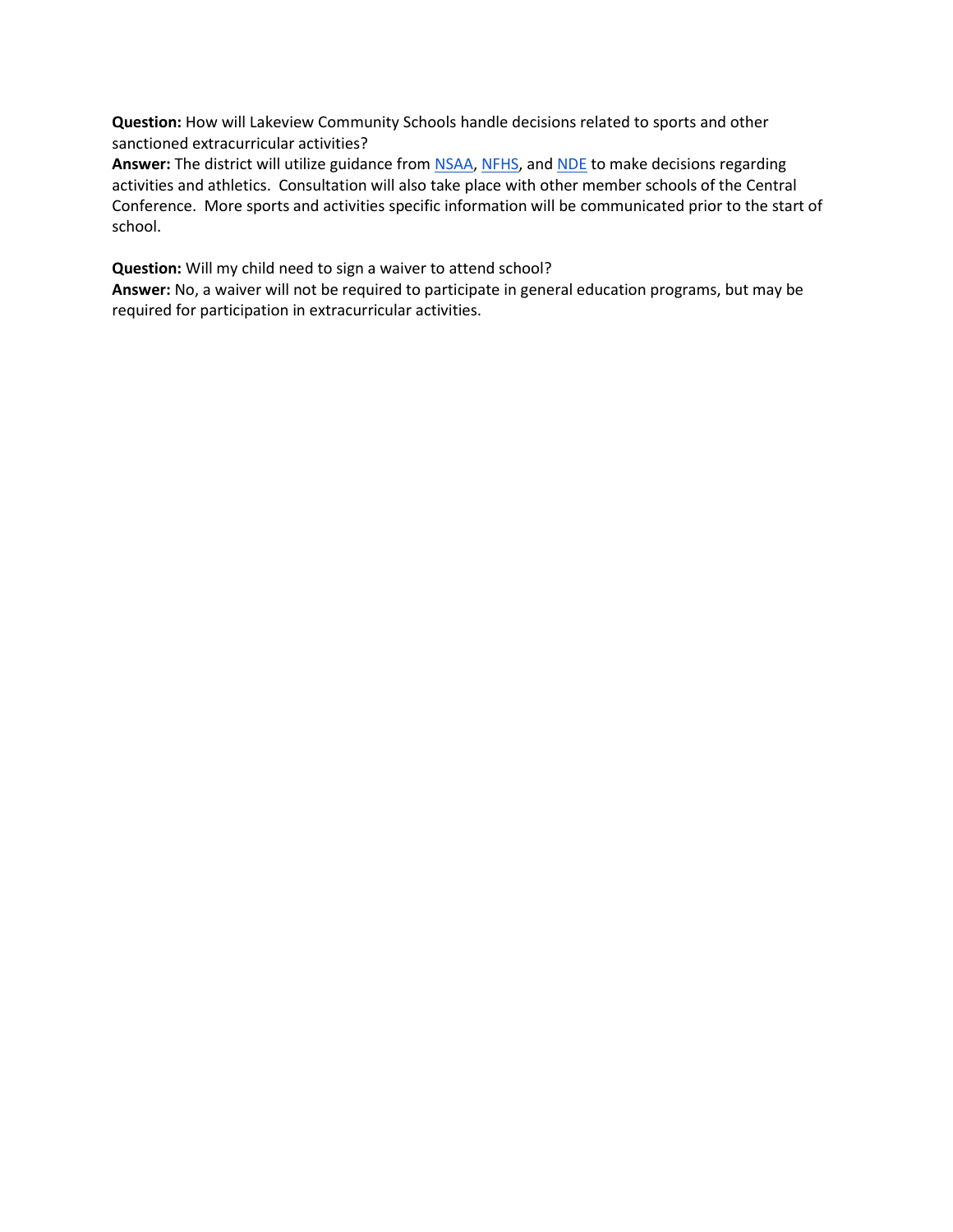**Question:** How will Lakeview Community Schools handle decisions related to sports and other sanctioned extracurricular activities?

Answer: The district will utilize guidance from **NSAA**, [NFHS,](https://www.nfhs.org/media/3812287/2020-nfhs-guidance-for-opening-up-high-school-athletics-and-activities-nfhs-smac-may-15_2020-final.pdf) and **NDE** to make decisions regarding activities and athletics. Consultation will also take place with other member schools of the Central Conference. More sports and activities specific information will be communicated prior to the start of school.

**Question:** Will my child need to sign a waiver to attend school?

**Answer:** No, a waiver will not be required to participate in general education programs, but may be required for participation in extracurricular activities.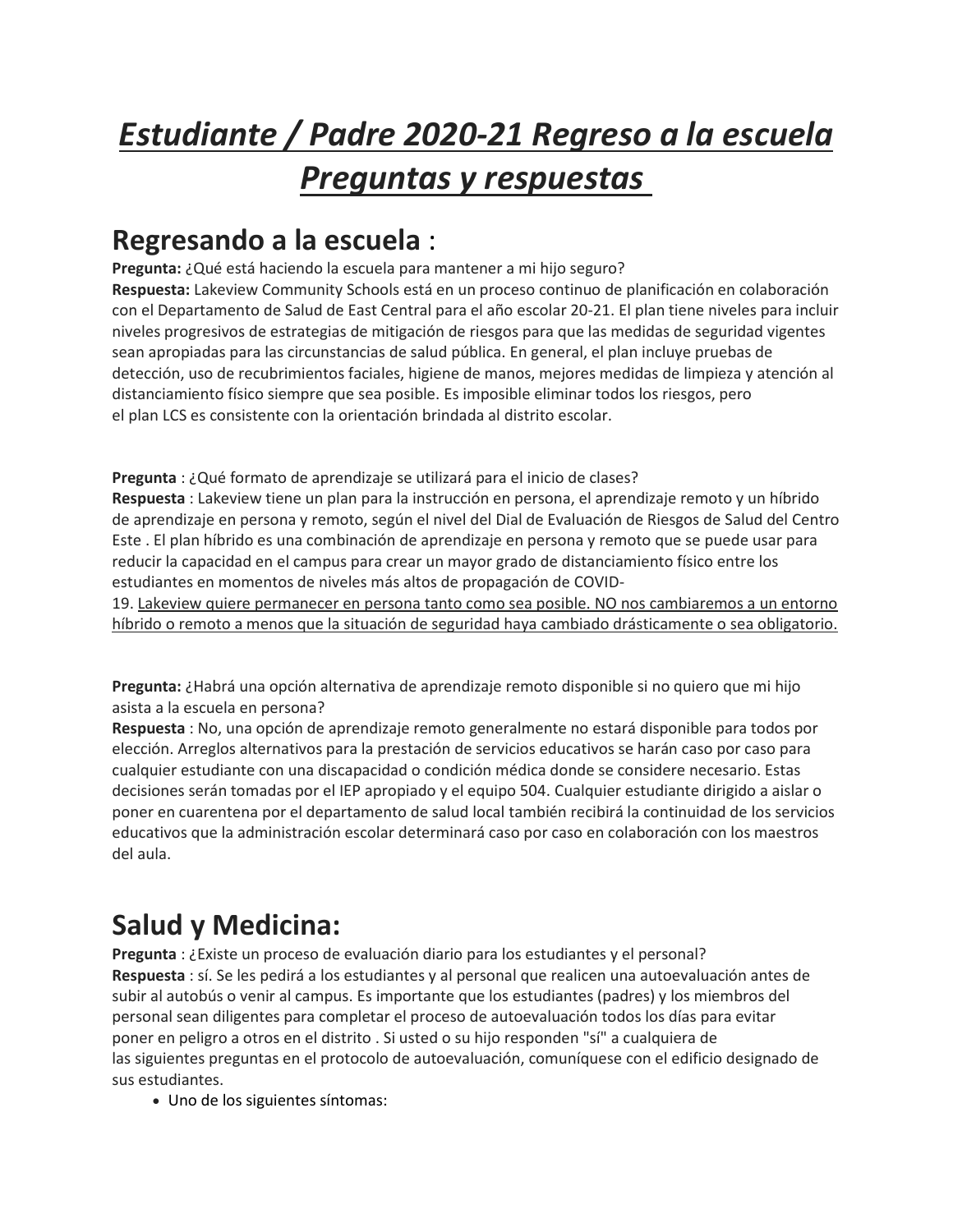# *Estudiante / Padre 2020-21 Regreso a la escuela Preguntas y respuestas*

### **Regresando a la escuela** :

**Pregunta:** ¿Qué está haciendo la escuela para mantener a mi hijo seguro? **Respuesta:** Lakeview Community Schools está en un proceso continuo de planificación en colaboración con el Departamento de Salud de East Central para el año escolar 20-21. El plan tiene niveles para incluir niveles progresivos de estrategias de mitigación de riesgos para que las medidas de seguridad vigentes sean apropiadas para las circunstancias de salud pública. En general, el plan incluye pruebas de detección, uso de recubrimientos faciales, higiene de manos, mejores medidas de limpieza y atención al distanciamiento físico siempre que sea posible. Es imposible eliminar todos los riesgos, pero el plan LCS es consistente con la orientación brindada al distrito escolar.

**Pregunta** : ¿Qué formato de aprendizaje se utilizará para el inicio de clases? **Respuesta** : Lakeview tiene un plan para la instrucción en persona, el aprendizaje remoto y un híbrido de aprendizaje en persona y remoto, según el nivel del Dial de Evaluación de Riesgos de Salud del Centro Este . El plan híbrido es una combinación de aprendizaje en persona y remoto que se puede usar para reducir la capacidad en el campus para crear un mayor grado de distanciamiento físico entre los estudiantes en momentos de niveles más altos de propagación de COVID-

19. Lakeview quiere permanecer en persona tanto como sea posible. NO nos cambiaremos a un entorno híbrido o remoto a menos que la situación de seguridad haya cambiado drásticamente o sea obligatorio.

**Pregunta:** ¿Habrá una opción alternativa de aprendizaje remoto disponible si no quiero que mi hijo asista a la escuela en persona?

**Respuesta** : No, una opción de aprendizaje remoto generalmente no estará disponible para todos por elección. Arreglos alternativos para la prestación de servicios educativos se harán caso por caso para cualquier estudiante con una discapacidad o condición médica donde se considere necesario. Estas decisiones serán tomadas por el IEP apropiado y el equipo 504. Cualquier estudiante dirigido a aislar o poner en cuarentena por el departamento de salud local también recibirá la continuidad de los servicios educativos que la administración escolar determinará caso por caso en colaboración con los maestros del aula.

# **Salud y Medicina:**

**Pregunta** : ¿Existe un proceso de evaluación diario para los estudiantes y el personal? **Respuesta** : sí. Se les pedirá a los estudiantes y al personal que realicen una autoevaluación antes de subir al autobús o venir al campus. Es importante que los estudiantes (padres) y los miembros del personal sean diligentes para completar el proceso de autoevaluación todos los días para evitar poner en peligro a otros en el distrito . Si usted o su hijo responden "sí" a cualquiera de las siguientes preguntas en el protocolo de autoevaluación, comuníquese con el edificio designado de sus estudiantes.

Uno de los siguientes síntomas: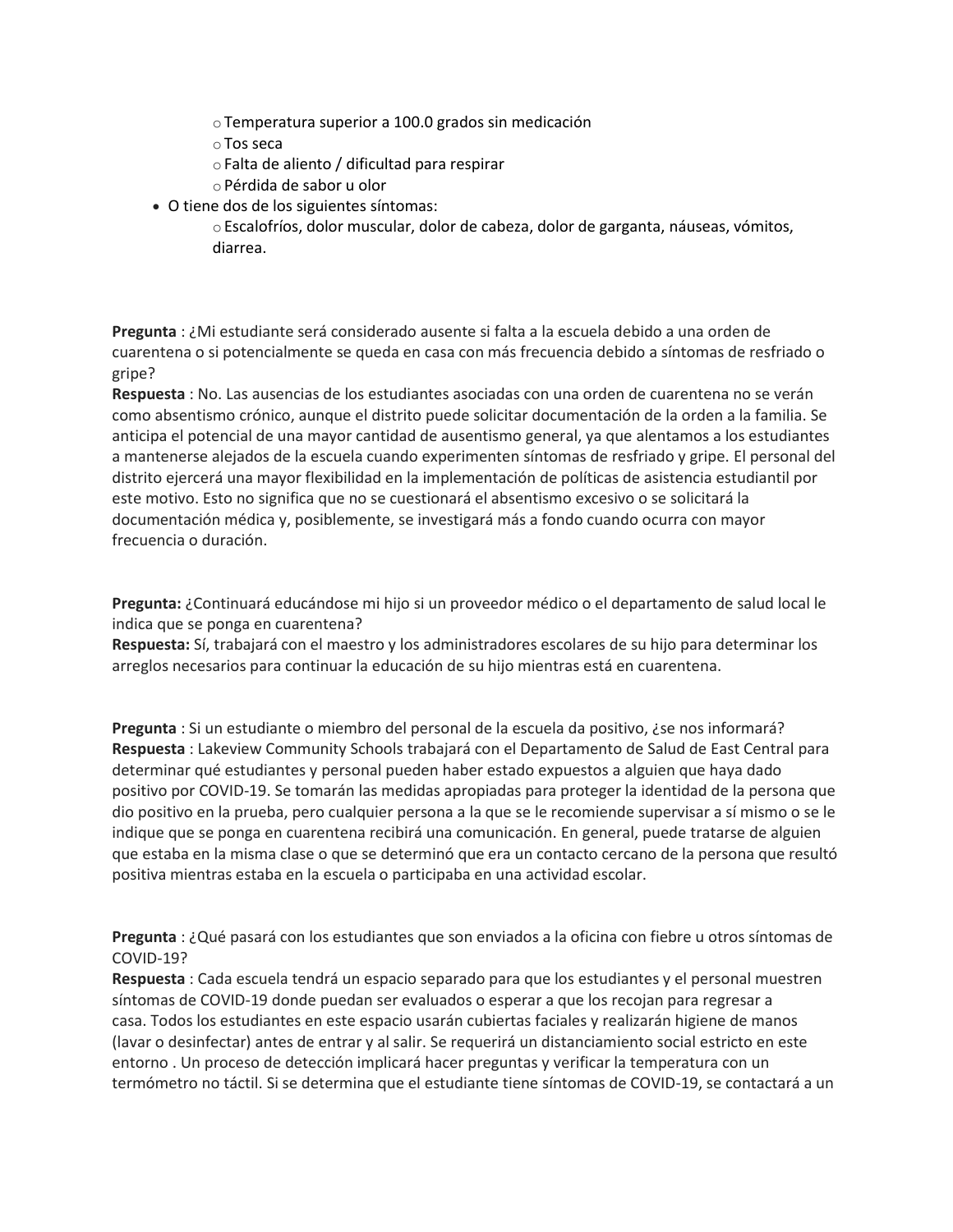- oTemperatura superior a 100.0 grados sin medicación
- oTos seca
- oFalta de aliento / dificultad para respirar
- oPérdida de sabor u olor
- O tiene dos de los siguientes síntomas:

oEscalofríos, dolor muscular, dolor de cabeza, dolor de garganta, náuseas, vómitos, diarrea.

**Pregunta** : ¿Mi estudiante será considerado ausente si falta a la escuela debido a una orden de cuarentena o si potencialmente se queda en casa con más frecuencia debido a síntomas de resfriado o gripe?

**Respuesta** : No. Las ausencias de los estudiantes asociadas con una orden de cuarentena no se verán como absentismo crónico, aunque el distrito puede solicitar documentación de la orden a la familia. Se anticipa el potencial de una mayor cantidad de ausentismo general, ya que alentamos a los estudiantes a mantenerse alejados de la escuela cuando experimenten síntomas de resfriado y gripe. El personal del distrito ejercerá una mayor flexibilidad en la implementación de políticas de asistencia estudiantil por este motivo. Esto no significa que no se cuestionará el absentismo excesivo o se solicitará la documentación médica y, posiblemente, se investigará más a fondo cuando ocurra con mayor frecuencia o duración.

**Pregunta:** ¿Continuará educándose mi hijo si un proveedor médico o el departamento de salud local le indica que se ponga en cuarentena?

**Respuesta:** Sí, trabajará con el maestro y los administradores escolares de su hijo para determinar los arreglos necesarios para continuar la educación de su hijo mientras está en cuarentena.

**Pregunta** : Si un estudiante o miembro del personal de la escuela da positivo, ¿se nos informará? **Respuesta** : Lakeview Community Schools trabajará con el Departamento de Salud de East Central para determinar qué estudiantes y personal pueden haber estado expuestos a alguien que haya dado positivo por COVID-19. Se tomarán las medidas apropiadas para proteger la identidad de la persona que dio positivo en la prueba, pero cualquier persona a la que se le recomiende supervisar a sí mismo o se le indique que se ponga en cuarentena recibirá una comunicación. En general, puede tratarse de alguien que estaba en la misma clase o que se determinó que era un contacto cercano de la persona que resultó positiva mientras estaba en la escuela o participaba en una actividad escolar.

**Pregunta** : ¿Qué pasará con los estudiantes que son enviados a la oficina con fiebre u otros síntomas de COVID-19?

**Respuesta** : Cada escuela tendrá un espacio separado para que los estudiantes y el personal muestren síntomas de COVID-19 donde puedan ser evaluados o esperar a que los recojan para regresar a casa. Todos los estudiantes en este espacio usarán cubiertas faciales y realizarán higiene de manos (lavar o desinfectar) antes de entrar y al salir. Se requerirá un distanciamiento social estricto en este entorno . Un proceso de detección implicará hacer preguntas y verificar la temperatura con un termómetro no táctil. Si se determina que el estudiante tiene síntomas de COVID-19, se contactará a un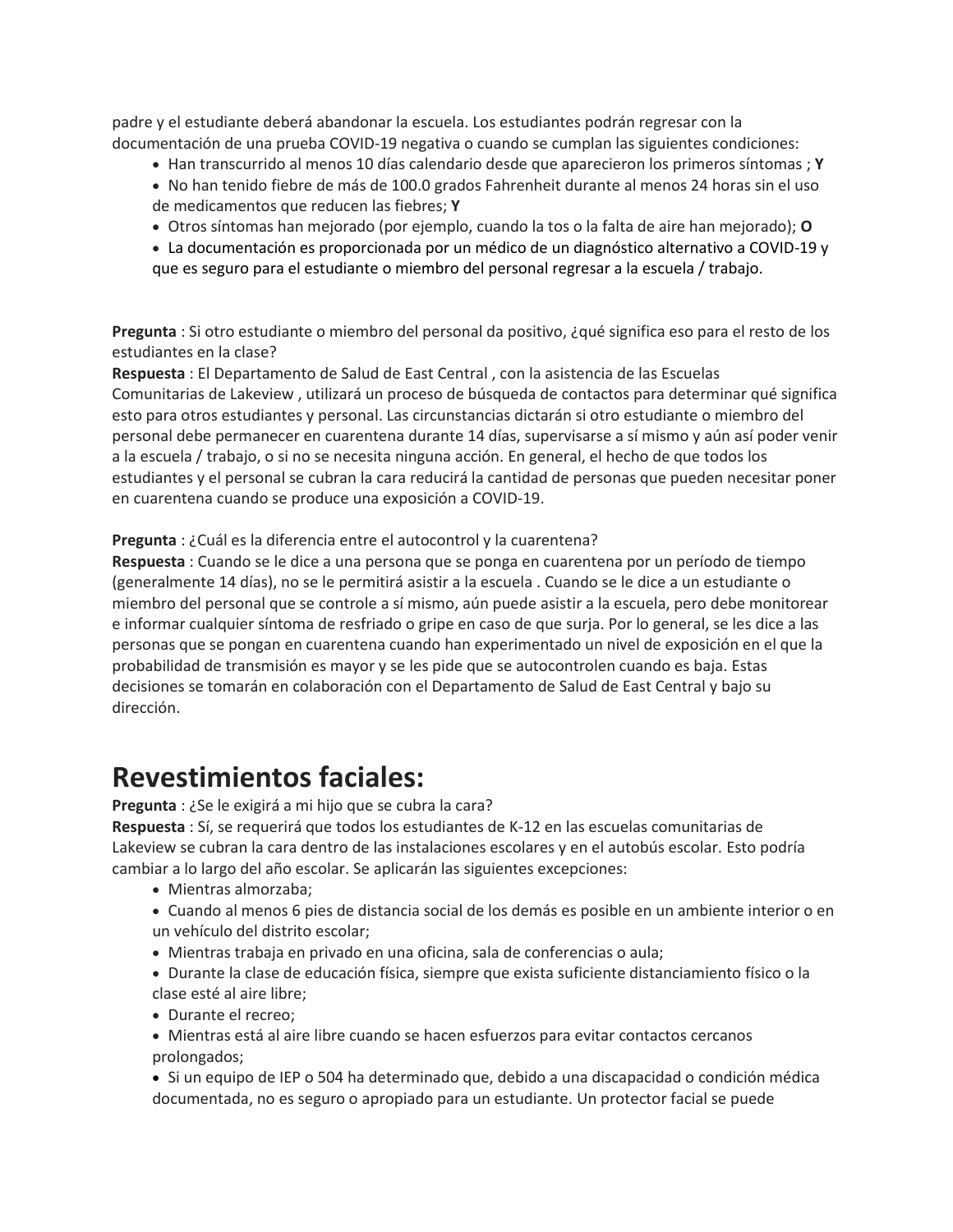padre y el estudiante deberá abandonar la escuela. Los estudiantes podrán regresar con la documentación de una prueba COVID-19 negativa o cuando se cumplan las siguientes condiciones:

- Han transcurrido al menos 10 días calendario desde que aparecieron los primeros síntomas ; **Y**
- No han tenido fiebre de más de 100.0 grados Fahrenheit durante al menos 24 horas sin el uso de medicamentos que reducen las fiebres; **Y**
- Otros síntomas han mejorado (por ejemplo, cuando la tos o la falta de aire han mejorado); **O**
- La documentación es proporcionada por un médico de un diagnóstico alternativo a COVID-19 y que es seguro para el estudiante o miembro del personal regresar a la escuela / trabajo.

**Pregunta** : Si otro estudiante o miembro del personal da positivo, ¿qué significa eso para el resto de los estudiantes en la clase?

**Respuesta** : El Departamento de Salud de East Central , con la asistencia de las Escuelas Comunitarias de Lakeview , utilizará un proceso de búsqueda de contactos para determinar qué significa esto para otros estudiantes y personal. Las circunstancias dictarán si otro estudiante o miembro del personal debe permanecer en cuarentena durante 14 días, supervisarse a sí mismo y aún así poder venir a la escuela / trabajo, o si no se necesita ninguna acción. En general, el hecho de que todos los estudiantes y el personal se cubran la cara reducirá la cantidad de personas que pueden necesitar poner en cuarentena cuando se produce una exposición a COVID-19.

#### **Pregunta** : ¿Cuál es la diferencia entre el autocontrol y la cuarentena?

**Respuesta** : Cuando se le dice a una persona que se ponga en cuarentena por un período de tiempo (generalmente 14 días), no se le permitirá asistir a la escuela . Cuando se le dice a un estudiante o miembro del personal que se controle a sí mismo, aún puede asistir a la escuela, pero debe monitorear e informar cualquier síntoma de resfriado o gripe en caso de que surja. Por lo general, se les dice a las personas que se pongan en cuarentena cuando han experimentado un nivel de exposición en el que la probabilidad de transmisión es mayor y se les pide que se autocontrolen cuando es baja. Estas decisiones se tomarán en colaboración con el Departamento de Salud de East Central y bajo su dirección.

#### **Revestimientos faciales:**

**Pregunta** : ¿Se le exigirá a mi hijo que se cubra la cara?

**Respuesta** : Sí, se requerirá que todos los estudiantes de K-12 en las escuelas comunitarias de Lakeview se cubran la cara dentro de las instalaciones escolares y en el autobús escolar. Esto podría cambiar a lo largo del año escolar. Se aplicarán las siguientes excepciones:

- Mientras almorzaba;
- Cuando al menos 6 pies de distancia social de los demás es posible en un ambiente interior o en un vehículo del distrito escolar;
- Mientras trabaja en privado en una oficina, sala de conferencias o aula;
- Durante la clase de educación física, siempre que exista suficiente distanciamiento físico o la clase esté al aire libre;
- Durante el recreo;
- Mientras está al aire libre cuando se hacen esfuerzos para evitar contactos cercanos prolongados;
- Si un equipo de IEP o 504 ha determinado que, debido a una discapacidad o condición médica documentada, no es seguro o apropiado para un estudiante. Un protector facial se puede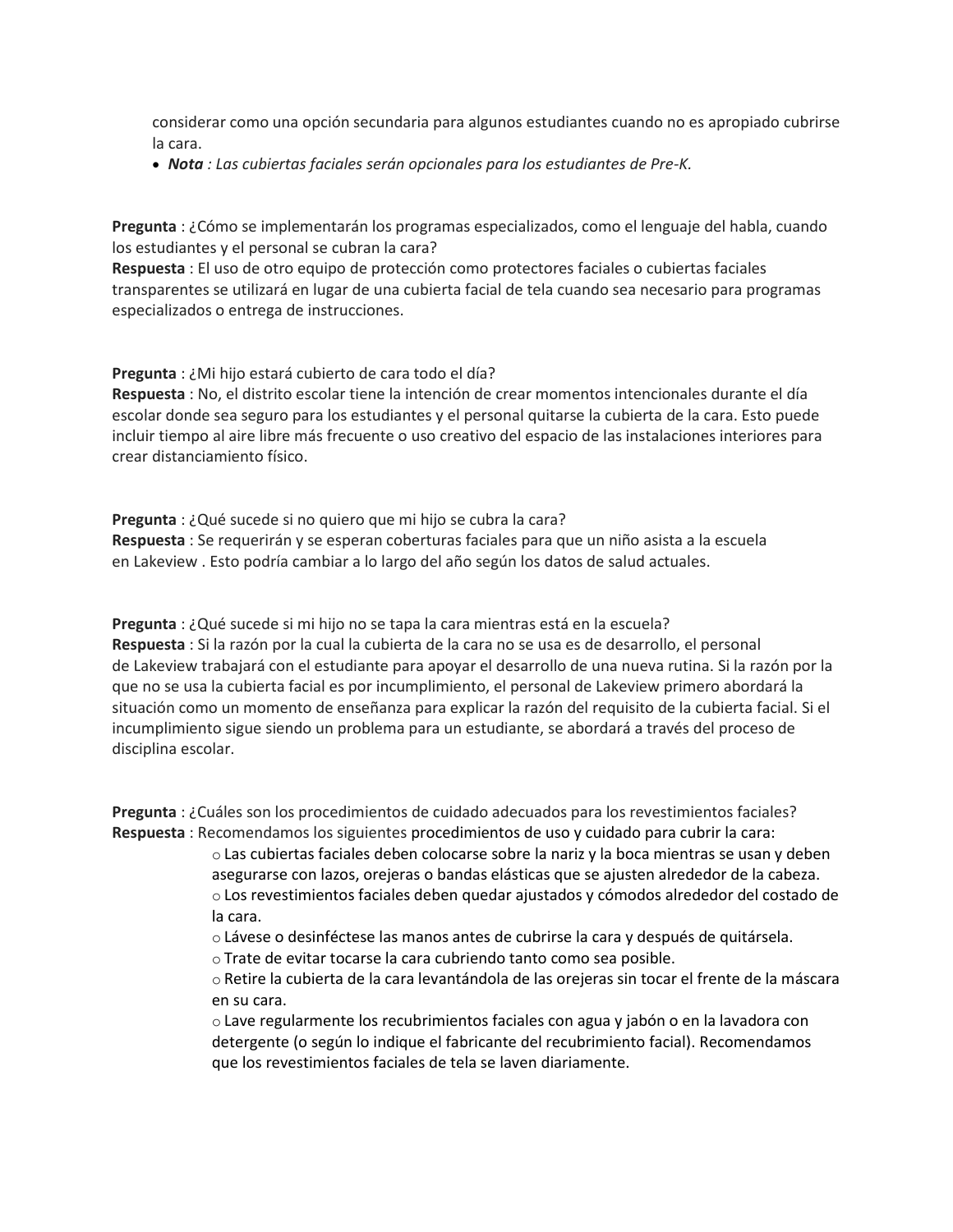considerar como una opción secundaria para algunos estudiantes cuando no es apropiado cubrirse la cara.

*Nota : Las cubiertas faciales serán opcionales para los estudiantes de Pre-K.* 

**Pregunta** : ¿Cómo se implementarán los programas especializados, como el lenguaje del habla, cuando los estudiantes y el personal se cubran la cara?

**Respuesta** : El uso de otro equipo de protección como protectores faciales o cubiertas faciales transparentes se utilizará en lugar de una cubierta facial de tela cuando sea necesario para programas especializados o entrega de instrucciones.

**Pregunta** : ¿Mi hijo estará cubierto de cara todo el día?

**Respuesta** : No, el distrito escolar tiene la intención de crear momentos intencionales durante el día escolar donde sea seguro para los estudiantes y el personal quitarse la cubierta de la cara. Esto puede incluir tiempo al aire libre más frecuente o uso creativo del espacio de las instalaciones interiores para crear distanciamiento físico.

**Pregunta** : ¿Qué sucede si no quiero que mi hijo se cubra la cara? **Respuesta** : Se requerirán y se esperan coberturas faciales para que un niño asista a la escuela en Lakeview . Esto podría cambiar a lo largo del año según los datos de salud actuales.

**Pregunta** : ¿Qué sucede si mi hijo no se tapa la cara mientras está en la escuela? **Respuesta** : Si la razón por la cual la cubierta de la cara no se usa es de desarrollo, el personal de Lakeview trabajará con el estudiante para apoyar el desarrollo de una nueva rutina. Si la razón por la que no se usa la cubierta facial es por incumplimiento, el personal de Lakeview primero abordará la situación como un momento de enseñanza para explicar la razón del requisito de la cubierta facial. Si el incumplimiento sigue siendo un problema para un estudiante, se abordará a través del proceso de disciplina escolar.

**Pregunta** : ¿Cuáles son los procedimientos de cuidado adecuados para los revestimientos faciales? **Respuesta** : Recomendamos los siguientes procedimientos de uso y cuidado para cubrir la cara:

o Las cubiertas faciales deben colocarse sobre la nariz y la boca mientras se usan y deben asegurarse con lazos, orejeras o bandas elásticas que se ajusten alrededor de la cabeza. o Los revestimientos faciales deben quedar ajustados y cómodos alrededor del costado de la cara.

- o Lávese o desinféctese las manos antes de cubrirse la cara y después de quitársela.
- o Trate de evitar tocarse la cara cubriendo tanto como sea posible.

o Retire la cubierta de la cara levantándola de las orejeras sin tocar el frente de la máscara en su cara.

o Lave regularmente los recubrimientos faciales con agua y jabón o en la lavadora con detergente (o según lo indique el fabricante del recubrimiento facial). Recomendamos que los revestimientos faciales de tela se laven diariamente.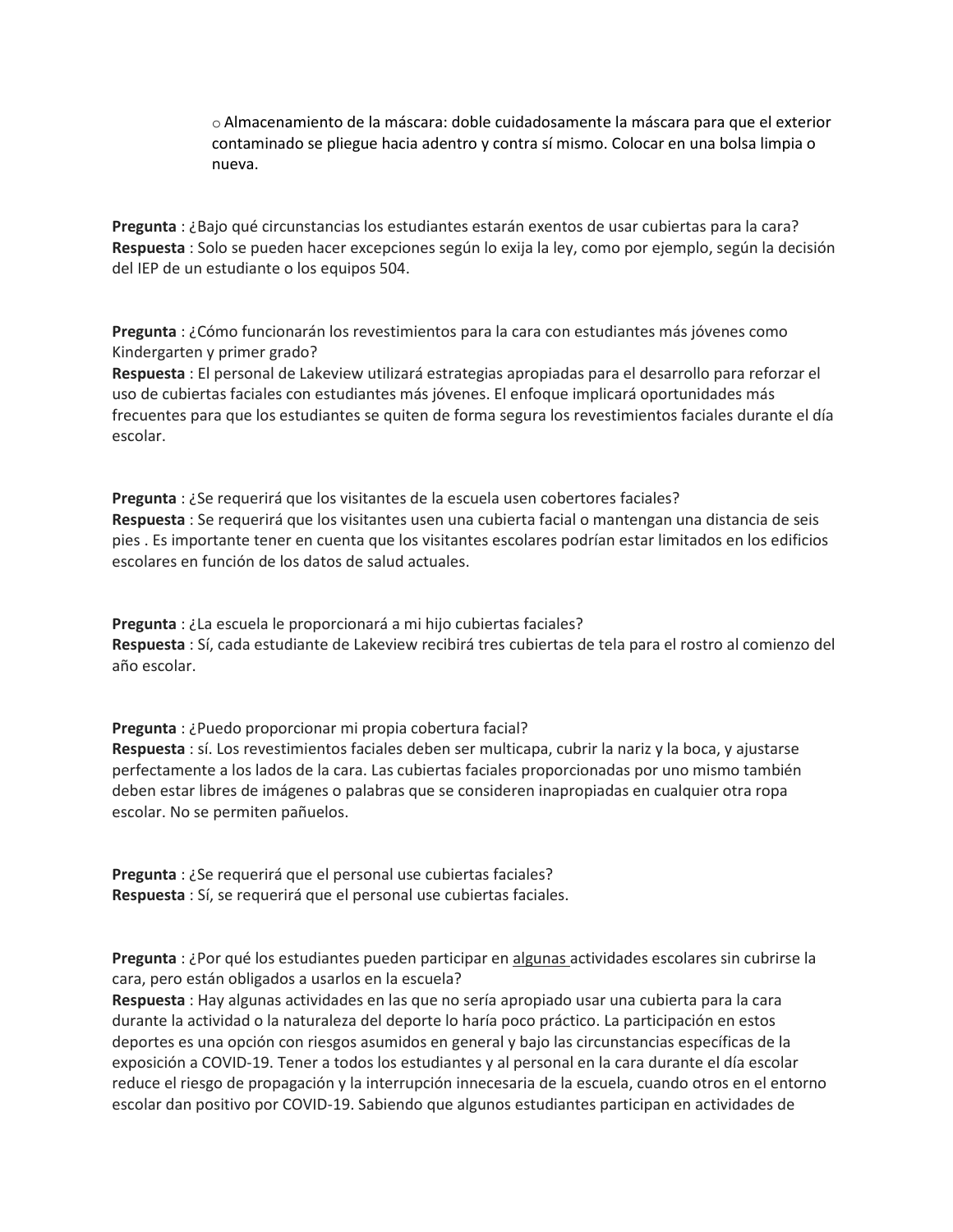o Almacenamiento de la máscara: doble cuidadosamente la máscara para que el exterior contaminado se pliegue hacia adentro y contra sí mismo. Colocar en una bolsa limpia o nueva.

**Pregunta** : ¿Bajo qué circunstancias los estudiantes estarán exentos de usar cubiertas para la cara? **Respuesta** : Solo se pueden hacer excepciones según lo exija la ley, como por ejemplo, según la decisión del IEP de un estudiante o los equipos 504.

**Pregunta** : ¿Cómo funcionarán los revestimientos para la cara con estudiantes más jóvenes como Kindergarten y primer grado?

**Respuesta** : El personal de Lakeview utilizará estrategias apropiadas para el desarrollo para reforzar el uso de cubiertas faciales con estudiantes más jóvenes. El enfoque implicará oportunidades más frecuentes para que los estudiantes se quiten de forma segura los revestimientos faciales durante el día escolar.

**Pregunta** : ¿Se requerirá que los visitantes de la escuela usen cobertores faciales? **Respuesta** : Se requerirá que los visitantes usen una cubierta facial o mantengan una distancia de seis pies . Es importante tener en cuenta que los visitantes escolares podrían estar limitados en los edificios escolares en función de los datos de salud actuales.

**Pregunta** : ¿La escuela le proporcionará a mi hijo cubiertas faciales? **Respuesta** : Sí, cada estudiante de Lakeview recibirá tres cubiertas de tela para el rostro al comienzo del año escolar.

**Pregunta** : ¿Puedo proporcionar mi propia cobertura facial? **Respuesta** : sí. Los revestimientos faciales deben ser multicapa, cubrir la nariz y la boca, y ajustarse perfectamente a los lados de la cara. Las cubiertas faciales proporcionadas por uno mismo también deben estar libres de imágenes o palabras que se consideren inapropiadas en cualquier otra ropa escolar. No se permiten pañuelos.

**Pregunta** : ¿Se requerirá que el personal use cubiertas faciales? **Respuesta** : Sí, se requerirá que el personal use cubiertas faciales.

**Pregunta** : ¿Por qué los estudiantes pueden participar en algunas actividades escolares sin cubrirse la cara, pero están obligados a usarlos en la escuela?

**Respuesta** : Hay algunas actividades en las que no sería apropiado usar una cubierta para la cara durante la actividad o la naturaleza del deporte lo haría poco práctico. La participación en estos deportes es una opción con riesgos asumidos en general y bajo las circunstancias específicas de la exposición a COVID-19. Tener a todos los estudiantes y al personal en la cara durante el día escolar reduce el riesgo de propagación y la interrupción innecesaria de la escuela, cuando otros en el entorno escolar dan positivo por COVID-19. Sabiendo que algunos estudiantes participan en actividades de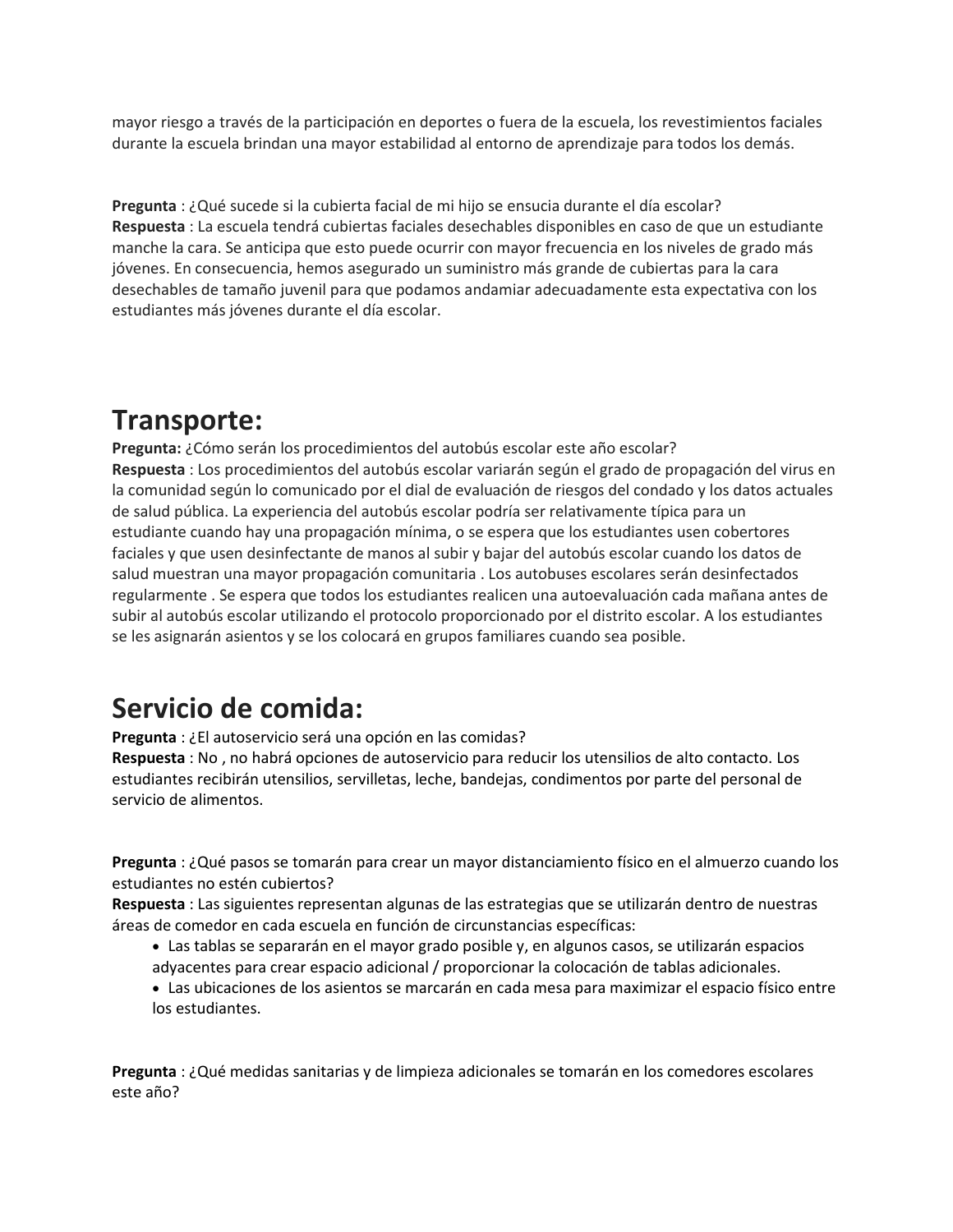mayor riesgo a través de la participación en deportes o fuera de la escuela, los revestimientos faciales durante la escuela brindan una mayor estabilidad al entorno de aprendizaje para todos los demás.

**Pregunta** : ¿Qué sucede si la cubierta facial de mi hijo se ensucia durante el día escolar? **Respuesta** : La escuela tendrá cubiertas faciales desechables disponibles en caso de que un estudiante manche la cara. Se anticipa que esto puede ocurrir con mayor frecuencia en los niveles de grado más jóvenes. En consecuencia, hemos asegurado un suministro más grande de cubiertas para la cara desechables de tamaño juvenil para que podamos andamiar adecuadamente esta expectativa con los estudiantes más jóvenes durante el día escolar.

#### **Transporte:**

**Pregunta:** ¿Cómo serán los procedimientos del autobús escolar este año escolar? **Respuesta** : Los procedimientos del autobús escolar variarán según el grado de propagación del virus en la comunidad según lo comunicado por el dial de evaluación de riesgos del condado y los datos actuales de salud pública. La experiencia del autobús escolar podría ser relativamente típica para un estudiante cuando hay una propagación mínima, o se espera que los estudiantes usen cobertores faciales y que usen desinfectante de manos al subir y bajar del autobús escolar cuando los datos de salud muestran una mayor propagación comunitaria . Los autobuses escolares serán desinfectados regularmente . Se espera que todos los estudiantes realicen una autoevaluación cada mañana antes de subir al autobús escolar utilizando el protocolo proporcionado por el distrito escolar. A los estudiantes se les asignarán asientos y se los colocará en grupos familiares cuando sea posible.

#### **Servicio de comida:**

**Pregunta** : ¿El autoservicio será una opción en las comidas?

**Respuesta** : No , no habrá opciones de autoservicio para reducir los utensilios de alto contacto. Los estudiantes recibirán utensilios, servilletas, leche, bandejas, condimentos por parte del personal de servicio de alimentos.

**Pregunta** : ¿Qué pasos se tomarán para crear un mayor distanciamiento físico en el almuerzo cuando los estudiantes no estén cubiertos?

**Respuesta** : Las siguientes representan algunas de las estrategias que se utilizarán dentro de nuestras áreas de comedor en cada escuela en función de circunstancias específicas:

- Las tablas se separarán en el mayor grado posible y, en algunos casos, se utilizarán espacios adyacentes para crear espacio adicional / proporcionar la colocación de tablas adicionales.
- Las ubicaciones de los asientos se marcarán en cada mesa para maximizar el espacio físico entre los estudiantes.

**Pregunta** : ¿Qué medidas sanitarias y de limpieza adicionales se tomarán en los comedores escolares este año?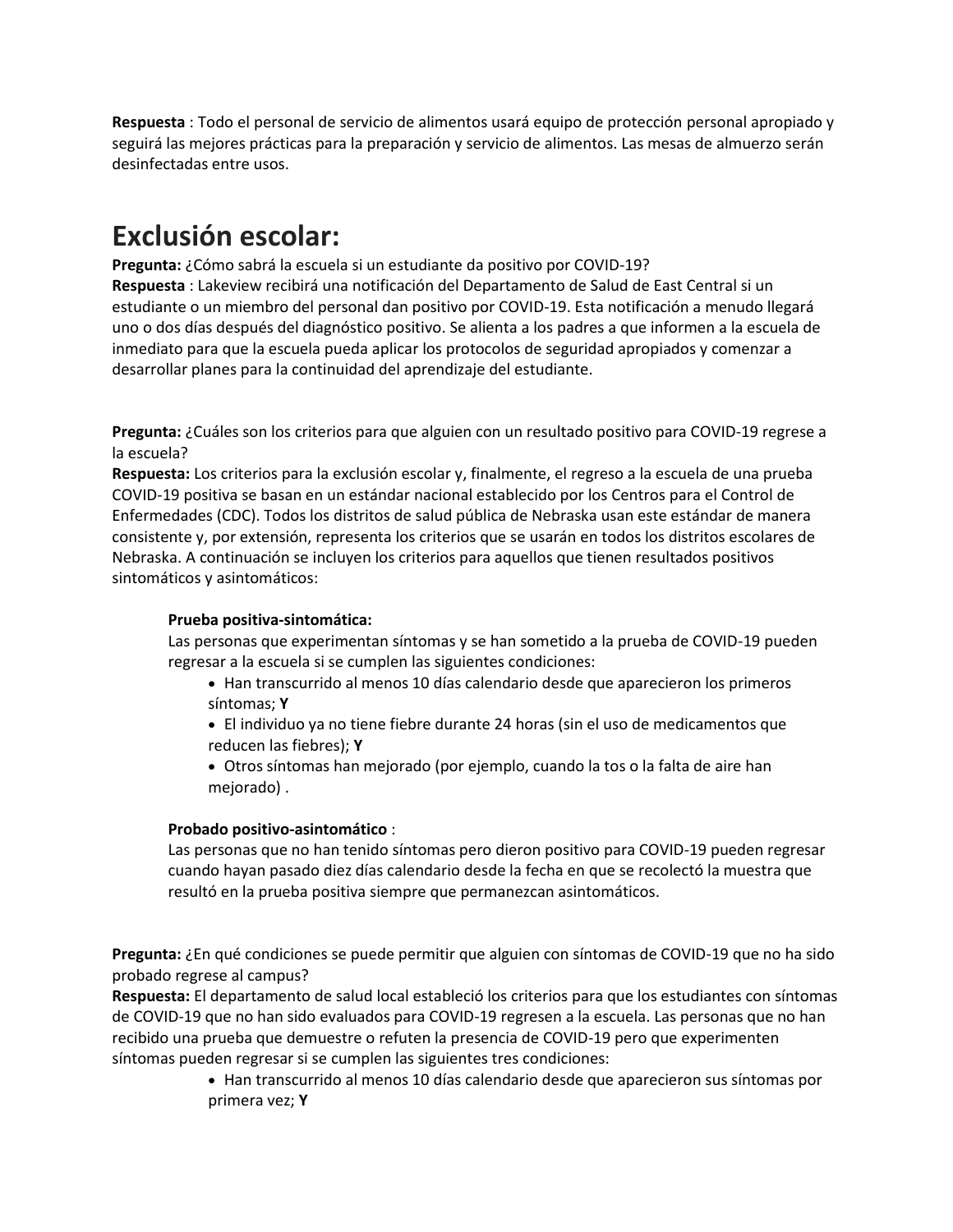**Respuesta** : Todo el personal de servicio de alimentos usará equipo de protección personal apropiado y seguirá las mejores prácticas para la preparación y servicio de alimentos. Las mesas de almuerzo serán desinfectadas entre usos.

### **Exclusión escolar:**

**Pregunta:** ¿Cómo sabrá la escuela si un estudiante da positivo por COVID-19? **Respuesta** : Lakeview recibirá una notificación del Departamento de Salud de East Central si un estudiante o un miembro del personal dan positivo por COVID-19. Esta notificación a menudo llegará uno o dos días después del diagnóstico positivo. Se alienta a los padres a que informen a la escuela de inmediato para que la escuela pueda aplicar los protocolos de seguridad apropiados y comenzar a desarrollar planes para la continuidad del aprendizaje del estudiante.

**Pregunta:** ¿Cuáles son los criterios para que alguien con un resultado positivo para COVID-19 regrese a la escuela?

**Respuesta:** Los criterios para la exclusión escolar y, finalmente, el regreso a la escuela de una prueba COVID-19 positiva se basan en un estándar nacional establecido por los Centros para el Control de Enfermedades (CDC). Todos los distritos de salud pública de Nebraska usan este estándar de manera consistente y, por extensión, representa los criterios que se usarán en todos los distritos escolares de Nebraska. A continuación se incluyen los criterios para aquellos que tienen resultados positivos sintomáticos y asintomáticos:

#### **Prueba positiva-sintomática:**

Las personas que experimentan síntomas y se han sometido a la prueba de COVID-19 pueden regresar a la escuela si se cumplen las siguientes condiciones:

 Han transcurrido al menos 10 días calendario desde que aparecieron los primeros síntomas; **Y**

 El individuo ya no tiene fiebre durante 24 horas (sin el uso de medicamentos que reducen las fiebres); **Y**

 Otros síntomas han mejorado (por ejemplo, cuando la tos o la falta de aire han mejorado) .

#### **Probado positivo-asintomático** :

Las personas que no han tenido síntomas pero dieron positivo para COVID-19 pueden regresar cuando hayan pasado diez días calendario desde la fecha en que se recolectó la muestra que resultó en la prueba positiva siempre que permanezcan asintomáticos.

**Pregunta:** ¿En qué condiciones se puede permitir que alguien con síntomas de COVID-19 que no ha sido probado regrese al campus?

**Respuesta:** El departamento de salud local estableció los criterios para que los estudiantes con síntomas de COVID-19 que no han sido evaluados para COVID-19 regresen a la escuela. Las personas que no han recibido una prueba que demuestre o refuten la presencia de COVID-19 pero que experimenten síntomas pueden regresar si se cumplen las siguientes tres condiciones:

> Han transcurrido al menos 10 días calendario desde que aparecieron sus síntomas por primera vez; **Y**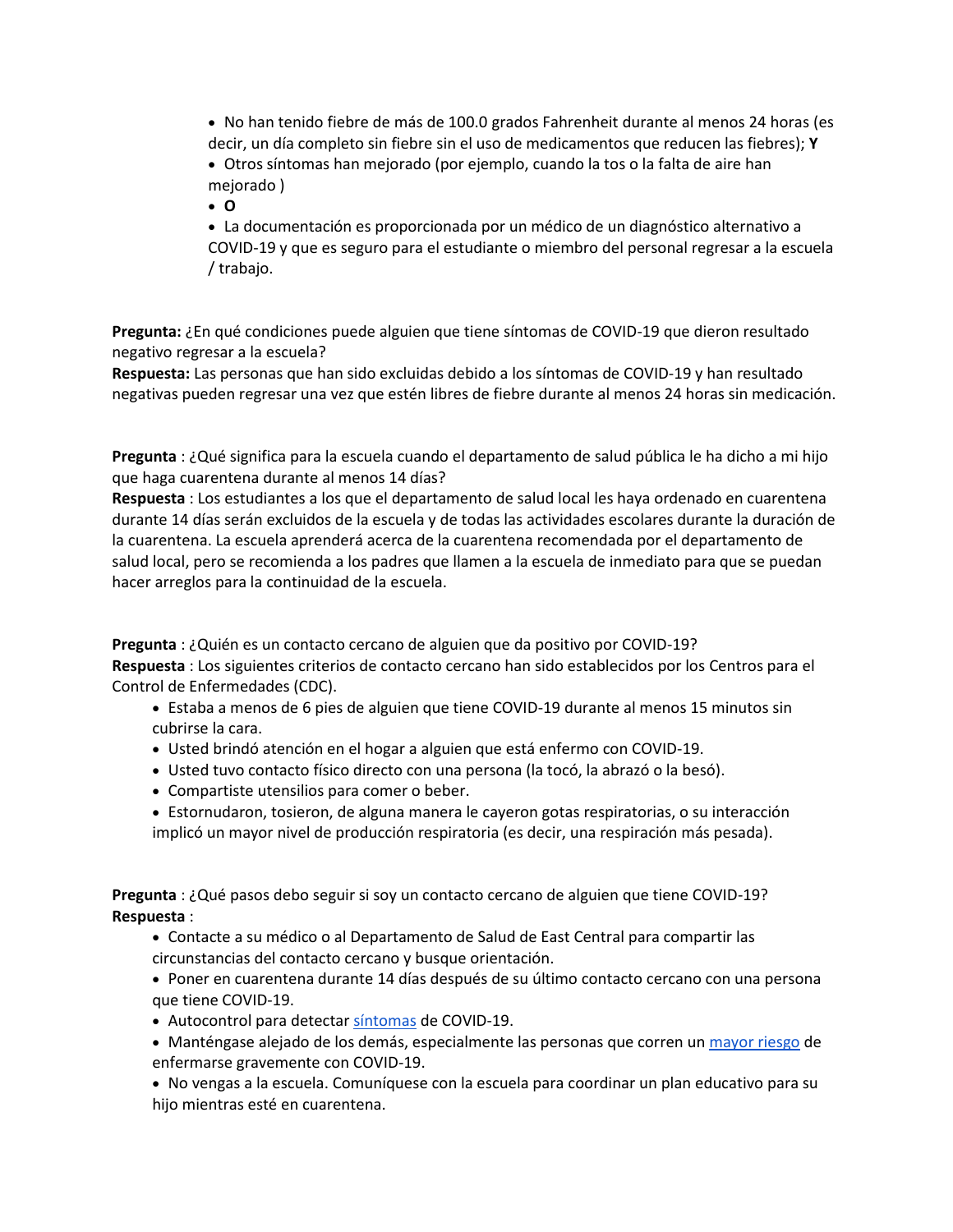No han tenido fiebre de más de 100.0 grados Fahrenheit durante al menos 24 horas (es decir, un día completo sin fiebre sin el uso de medicamentos que reducen las fiebres); **Y**

 Otros síntomas han mejorado (por ejemplo, cuando la tos o la falta de aire han mejorado )

**O**

 La documentación es proporcionada por un médico de un diagnóstico alternativo a COVID-19 y que es seguro para el estudiante o miembro del personal regresar a la escuela / trabajo.

**Pregunta:** ¿En qué condiciones puede alguien que tiene síntomas de COVID-19 que dieron resultado negativo regresar a la escuela?

**Respuesta:** Las personas que han sido excluidas debido a los síntomas de COVID-19 y han resultado negativas pueden regresar una vez que estén libres de fiebre durante al menos 24 horas sin medicación.

**Pregunta** : ¿Qué significa para la escuela cuando el departamento de salud pública le ha dicho a mi hijo que haga cuarentena durante al menos 14 días?

**Respuesta** : Los estudiantes a los que el departamento de salud local les haya ordenado en cuarentena durante 14 días serán excluidos de la escuela y de todas las actividades escolares durante la duración de la cuarentena. La escuela aprenderá acerca de la cuarentena recomendada por el departamento de salud local, pero se recomienda a los padres que llamen a la escuela de inmediato para que se puedan hacer arreglos para la continuidad de la escuela.

**Pregunta** : ¿Quién es un contacto cercano de alguien que da positivo por COVID-19? **Respuesta** : Los siguientes criterios de contacto cercano han sido establecidos por los Centros para el Control de Enfermedades (CDC).

- Estaba a menos de 6 pies de alguien que tiene COVID-19 durante al menos 15 minutos sin cubrirse la cara.
- Usted brindó atención en el hogar a alguien que está enfermo con COVID-19.
- Usted tuvo contacto físico directo con una persona (la tocó, la abrazó o la besó).
- Compartiste utensilios para comer o beber.
- Estornudaron, tosieron, de alguna manera le cayeron gotas respiratorias, o su interacción implicó un mayor nivel de producción respiratoria (es decir, una respiración más pesada).

**Pregunta** : ¿Qué pasos debo seguir si soy un contacto cercano de alguien que tiene COVID-19? **Respuesta** :

- Contacte a su médico o al Departamento de Salud de East Central para compartir las circunstancias del contacto cercano y busque orientación.
- Poner en cuarentena durante 14 días después de su último contacto cercano con una persona que tiene COVID-19.
- Autocontrol para detectar [síntomas](https://translate.google.com/translate?hl=en&prev=_t&sl=en&tl=es&u=https://www.cdc.gov/coronavirus/2019-ncov/symptoms-testing/symptoms.html) de COVID-19.
- Manténgase alejado de los demás, especialmente las personas que corren un [mayor riesgo](https://translate.google.com/translate?hl=en&prev=_t&sl=en&tl=es&u=https://www.cdc.gov/coronavirus/2019-ncov/need-extra-precautions/people-at-increased-risk.html%3FCDC_AA_refVal%3Dhttps%253A%252F%252Fwww.cdc.gov%252Fcoronavirus%252F2019-ncov%252Fneed-extra-precautions%252Fpeople-at-higher-risk.html) de enfermarse gravemente con COVID-19.
- No vengas a la escuela. Comuníquese con la escuela para coordinar un plan educativo para su hijo mientras esté en cuarentena.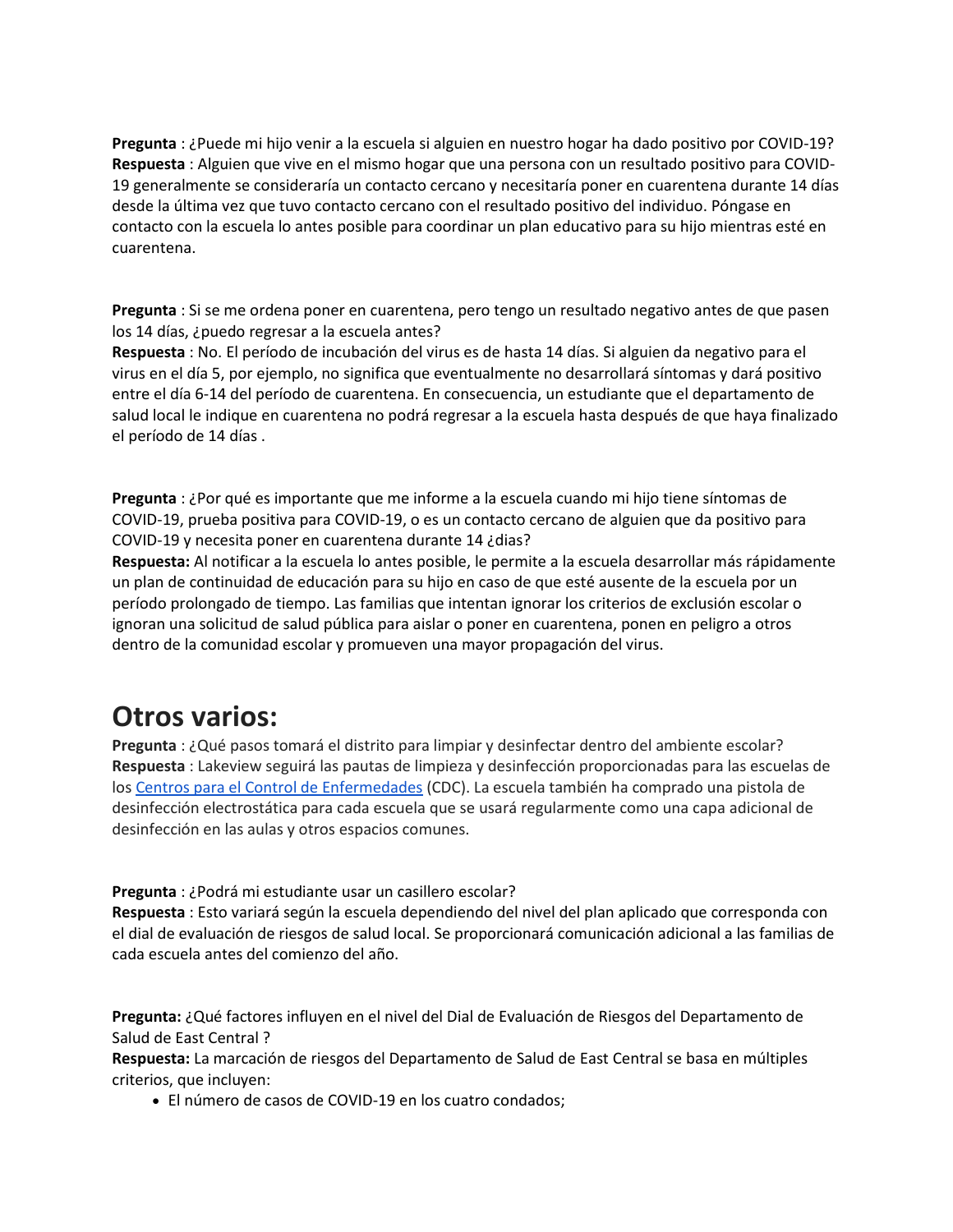**Pregunta** : ¿Puede mi hijo venir a la escuela si alguien en nuestro hogar ha dado positivo por COVID-19? **Respuesta** : Alguien que vive en el mismo hogar que una persona con un resultado positivo para COVID-19 generalmente se consideraría un contacto cercano y necesitaría poner en cuarentena durante 14 días desde la última vez que tuvo contacto cercano con el resultado positivo del individuo. Póngase en contacto con la escuela lo antes posible para coordinar un plan educativo para su hijo mientras esté en cuarentena.

**Pregunta** : Si se me ordena poner en cuarentena, pero tengo un resultado negativo antes de que pasen los 14 días, ¿puedo regresar a la escuela antes?

**Respuesta** : No. El período de incubación del virus es de hasta 14 días. Si alguien da negativo para el virus en el día 5, por ejemplo, no significa que eventualmente no desarrollará síntomas y dará positivo entre el día 6-14 del período de cuarentena. En consecuencia, un estudiante que el departamento de salud local le indique en cuarentena no podrá regresar a la escuela hasta después de que haya finalizado el período de 14 días .

**Pregunta** : ¿Por qué es importante que me informe a la escuela cuando mi hijo tiene síntomas de COVID-19, prueba positiva para COVID-19, o es un contacto cercano de alguien que da positivo para COVID-19 y necesita poner en cuarentena durante 14 ¿dias?

**Respuesta:** Al notificar a la escuela lo antes posible, le permite a la escuela desarrollar más rápidamente un plan de continuidad de educación para su hijo en caso de que esté ausente de la escuela por un período prolongado de tiempo. Las familias que intentan ignorar los criterios de exclusión escolar o ignoran una solicitud de salud pública para aislar o poner en cuarentena, ponen en peligro a otros dentro de la comunidad escolar y promueven una mayor propagación del virus.

#### **Otros varios:**

**Pregunta** : ¿Qué pasos tomará el distrito para limpiar y desinfectar dentro del ambiente escolar? **Respuesta** : Lakeview seguirá las pautas de limpieza y desinfección proporcionadas para las escuelas de los [Centros para el Control de Enfermedades](https://translate.google.com/translate?hl=en&prev=_t&sl=en&tl=es&u=https://www.cdc.gov/coronavirus/2019-ncov/community/reopen-guidance.html) (CDC). La escuela también ha comprado una pistola de desinfección electrostática para cada escuela que se usará regularmente como una capa adicional de desinfección en las aulas y otros espacios comunes.

#### **Pregunta** : ¿Podrá mi estudiante usar un casillero escolar?

**Respuesta** : Esto variará según la escuela dependiendo del nivel del plan aplicado que corresponda con el dial de evaluación de riesgos de salud local. Se proporcionará comunicación adicional a las familias de cada escuela antes del comienzo del año.

**Pregunta:** ¿Qué factores influyen en el nivel del Dial de Evaluación de Riesgos del Departamento de Salud de East Central ?

**Respuesta:** La marcación de riesgos del Departamento de Salud de East Central se basa en múltiples criterios, que incluyen:

El número de casos de COVID-19 en los cuatro condados;